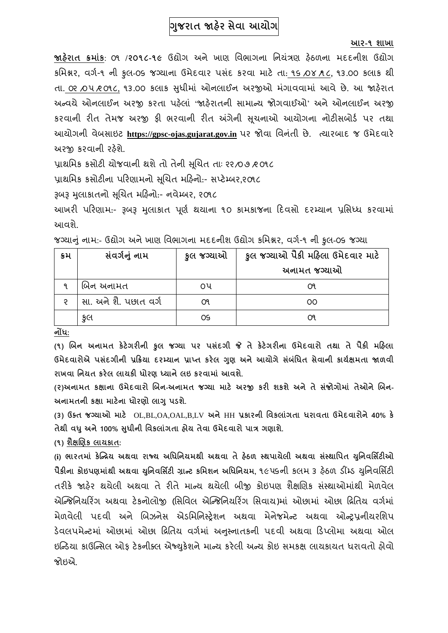# **ગજુ રાત જાહેર સેવા આયોગ**

#### **આર-૧ શાખા**

**જાહરે ાત ક્રમાાંક**: ૦૧ **/૨૦૧૮-૧૯** ઉદ્યોગ અને ખાણ વિભાગના વનયત્રં ણ હઠે ળના મદદનીશ ઉદ્યોગ કવમશ્નર**,** િગગ-૧ ની કુલ-૦૬ જગ્યાના ઉમેદિાર પસંદ કરિા માટે તા: ૧૬ /૦૪ /૧ ૮**,** ૧૩.૦૦ કલાક થી તા. ૦૨ /૦૫ /૨ ૦૧૮, ૧૩.૦૦ કલાક સધીમાં ઓનલાઈન અરજીઓ મંગાવવામાં આવે છે. આ જાહેરાત અન્વયે ઓનલાઈન અરજી કરતા પઠેલાં 'જાઠેરાતની સામાન્ય જોગવાઈઓ' અને ઓનલાઈન અરજી કરિાની રીત તેમજ અરજી ફી ભરિાની રીત અંગેની સચૂ નાઓ આયોગના નોટીસબોર્ગ પર તથા આયોગની િેબસાઇટ **[https://gpsc-ojas.gujarat.gov.in](https://gpsc-ojas.gujarat.gov.in/)** પર જોિા વિનંતી છે. ત્યારબાદ જ ઉમેદિારે અરજી કરવાની રઠેશે.

પ્રાથમિક કસોટી યોજવાની થશે તો તેની સૂચિત તાઃ ૨૨/૦૭ /૨ ૦૧૮

પ્રાથવમક કસોટીના પરરણામનો સચૂચત મરહનો:- સપ્ટેમ્બર**,**૨૦૧૮

રૂબરૂ મલુ ાકાતનો સચૂચત મરહનો:- નિેમ્બર**,** ૨૦૧૮

આખરી પરિણામ:- રૂબરૂ મલાકાત પૂર્ણ થયાના ૧૦ કામકાજના દિવસો દરમ્યાન પ્રસિધ્ધ કરવામાં આિશે.

| કમ           | સંવર્ગનું નામ          | કુલ જગ્યાઓ | કુલ જગ્યાઓ પૈકી મહિલા ઉમેદવાર માટે |
|--------------|------------------------|------------|------------------------------------|
|              |                        |            | અનામત જગ્યાઓ                       |
|              | બિન અનામત              | ૦૫         |                                    |
| $\mathsf{P}$ | સા. અને શૈે. પછાત વર્ગ | О٩         | OΟ                                 |
|              | કુલ                    | OS         | Ο٩                                 |

જગ્યાનંુનામ:- ઉદ્યોગ અનેખાણ વિભાગના મદદનીશ ઉદ્યોગ કવમશ્નર**,** િગગ-૧ ની કુલ-૦૬ જગ્યા

**નોંધ:**

**(૧) બિન અનામત કેટેગરીની કુલ જગ્યા પર પસદાં ગી જે તે કેટેગરીના ઉમેદવારો તથા તે પૈકી મહહલા ઉમેદવારોએ પસદાં ગીની પ્રહક્રયા દરમ્યાન પ્રાપ્ત કરેલ ગણુ અનેઆયોગેસિાં ધાંધત સેવાની કાયગક્ષમતા જાળવી રાખવા ધનયત કરેલ લાયકી ધોરણ ધ્યાનેલઇ કરવામાાં આવશે.**

**(૨)અનામત કક્ષાના ઉમેદવારો બિન-અનામત જગ્યા માટે અરજી કરી શકશેઅનેતેસજાં ોગોમાાં તેઓનેબિન-અનામતની કક્ષા માટેના ધોરણો લાગુપડશે.**

**(૩) ઉક્ત જગ્યાઓ માટે** OL,BL,OA,OAL,B,LV **અને**HH **પ્રકારની ધવકલાગાં તા ધરાવતા ઉમેદવારોને40% કે તેથી વધુઅને100% સધુ ીની ધવકલાાંગતા હોય તેવા ઉમેદવારો પાત્ર ગણાશે.**

**(૧) શૈક્ષબણક લાયકાત:**

**(i) ભારતમાાં કેન્દ્રિય અથવા રાજ્ય અધધધનયમથી અથવા તેહઠે ળ સ્થપાયેલી અથવા સસ્ાં થાધપત યધુનવધસિટીઓ પૈકીના કોઇપણમાાંથી અથવા યધુનવધસિટી ગ્રારટ કધમશન અધધધનયમ,** ૧૯૫૬ની કલમ ૩ હઠે ળ ર્ીંમ્ર્ યવુનિવસિટી તરીકે જાહેર થયેલી અથવા તે રીતે માન્ય થયેલી બીજી કોઇપણ શૈક્ષણિક સંસ્થાઓમાંથી મેળવેલ એન્જિનિયરિંગ અથવા ટેકનોલોજી (સિવિલ એન્જિનિયરિંગ સિવાય)માં ઓછામાં ઓછા દિતિય વર્ગમાં મેળવેલી પદવી અને બિઝનેસ એડમિનિસ્ટ્રેશન અથવા મેનેજમેન્ટ અથવા ઓન્ટ્રપ્રનીયરશિપ ડેવલપમેન્ટમાં ઓછામાં ઓછા દિતિય વર્ગમાં અનુસ્નાતકની પદવી અથવા ડિપ્લોમા અથવા ઓલ ઇન્ડિયા કાઉન્સિલ ઓફ ટેકનીક્લ એજ્યુકેશને માન્ય કરેલી અન્ય કોઇ સમકક્ષ લાયકાયત ધરાવતો હોવો જોઇએ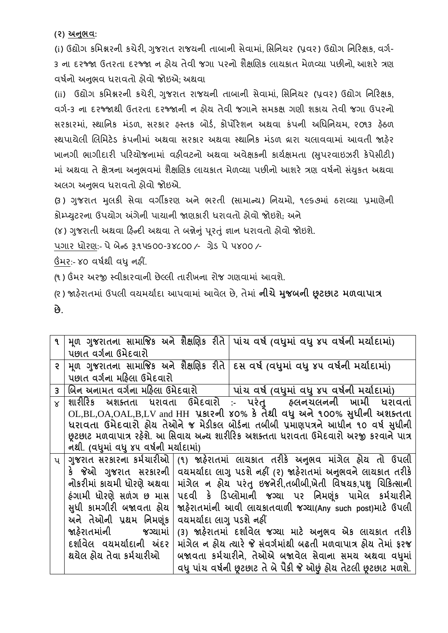**(૨) અનભુ વ:**

(i) ઉદ્યોગ કમિશ્નરની કચેરી, ગુજરાત રાજયની તાબાની સેવામાં, સિનિયર (પ્રવર) ઉદ્યોગ નિરિક્ષક, વર્ગ-૩ ના દરજ્જા ઉતરતા દરજ્જા ન ઠોય તેવી જગા પરનો શૈક્ષણિક લાયકાત મેળવ્યા પછીનો આશરે ત્રણ િર્ગનો અનભુ િ ધરાિતો હોિો જોઇએ; અથિા

(ii) ઉદ્યોગ કમિશ્નરની કચેરી, ગુજરાત રાજયની તાબાની સેવામાં, સિનિયર (પ્રવર) ઉદ્યોગ નિરિક્ષક, વર્ગ-૩ ના દરજ્જાથી ઉતરતા દરજ્જાની ન હોય તેવી જગાને સમકક્ષ ગણી શકાય તેવી જગા ઉપરનો સરકારમાં, સ્થાનિક મંડળ, સરકાર હસ્તક બોર્ડ, કોર્પોરેશન અથવા કંપની અધિનિયમ, ૨૦૧૩ હેઠળ સ્થપાયેલી લિમિટેડ કંપનીમાં અથવા સરકાર અથવા સ્થાનિક મંડળ વ્રારા ચલાવવામાં આવતી જાહેર ખાનગી ભાગીદારી પરિયોજનામાં વફીવટનો અથવા અવેક્ષકની કાર્યક્ષમતા (સપરવાઇઝરી કેપેસીટી) માં અથવા તે ક્ષેત્રના અનુભવમાં શૈક્ષણિક લાયકાત મેળવ્યા પછીનો આશરે ત્રણ વર્ષનો સંયુકત અથવા અલગ અનભવ ધરાવતો હોવો જોઇએ.

(૩) ગુજરાત મુલકી સેવા વર્ગીકરણ અને ભરતી (સામાન્ય) નિયમો, ૧૯૬૭માં ઠરાવ્યા પ્રમાણેની કોમ્પ્યટુરના ઉપયોગ અંગેની પાયાની જાણકારી ધરાિતો હોિો જોઇશે; અને

(૪) ગુજરાતી અથવા હિન્દી અથવા તે બન્નેનું પૂરતું જ્ઞાન ધરાવતો હોવો જોઇશે.

પગાર ધોરણ:- પેબેન્ર્ રૂ.૧૫૬૦૦-૩૪૮૦૦ /- ગ્રેર્ પે૫૪૦૦ /-

ઉંમર:- ૪૦ િર્ગથી િધુનહીં.

(૧ ) ઉંમર અરજી સ્િીકારિાની છેલ્લી તારીખના રોજ ગણિામાં આિશે.

(૨ ) જાહરે ાતમાં ઉપલી િયમયાગદા આપિામાં આિેલ છે, તેમાં **નીચેમજુ િની છૂટછાટ મળવાપાત્ર છે.**

|              |                                        |                          | ૧   મૂળ ગુજરાતના સામાજિક અને શૈક્ષણિક રીતે   પાંચ વર્ષ (વધુમાં વધુ ૪૫ વર્ષની મર્યાદામાં) |
|--------------|----------------------------------------|--------------------------|------------------------------------------------------------------------------------------|
|              | પછાત વર્ગના ઉમેદવારો                   |                          |                                                                                          |
| $\epsilon$   |                                        |                          | મૂળ ગુજરાતના સામાજિક અને શૈક્ષણિક રીતે   દસ વર્ષ (વધુમાં વધુ ૪૫ વર્ષની મર્યાદામાં)       |
|              | પછાત વર્ગના મહિલા ઉમેદવારો             |                          |                                                                                          |
| $\mathbf{3}$ |                                        |                          | બિન અનામત વર્ગના મહિલા ઉમેદવારો   પાંચ વર્ષ (વધુમાં વધુ ૪૫ વર્ષની મર્યાદામાં)            |
| $\times$     |                                        |                          | શારીરિક અશક્તતા ધરાવતા ઉમેદવારો :- પરંતુ  હલનચલનની ખામી ધરાવતાં                          |
|              |                                        |                          | OL,BL,OA,OAL,B,LV and HH પ્રકારની ४०% કે તેથી વધુ અને ૧૦૦% સુધીની અશક્તતા                |
|              |                                        |                          | ધરાવતા ઉમેદવારો હોય તેઓને જ મેડીકલ બોર્ડના તબીબી પ્રમાણપત્રને આધીન ૧૦ વર્ષ સુધીની        |
|              |                                        |                          | છૂટછાટ મળવાપાત્ર રહેશે. આ સિવાય અન્ય શારીરિક અશક્તતા ધરાવતા ઉમેદવારો અરજી કરવાને પાત્ર   |
|              | નથી. (વધુમાં વધુ ૪૫ વર્ષની મર્યાદામાં) |                          |                                                                                          |
| $\mathsf{u}$ |                                        |                          | ગુજરાત સરકારના કર્મચારીઓ  (૧) જાહેરાતમાં લાયકાત તરીકે અનુભવ માંગેલ હોય તો ઉપલી           |
|              |                                        |                          | કે  જેઓ  ગુજરાત  સરકારની   વયમર્યાદા લાગુ પડશે નહીં (૨) જાહેરાતમાં અનુભવને લાયકાત તરીકે  |
|              | નોકરીમાં કાચમી ધોરણે અથવા              |                          | માંગેલ ન હોય પરંતુ ઇજનેરી,તબીબી,ખેતી વિષયક,પશુ ચિકિત્સાની                                |
|              | ઠંગામી ધોરણે સળંગ છ માસ                |                          | પદવી કે ડિપ્લોમાની જગ્યા પર નિમણૂંક પામેલ કર્મચારીને                                     |
|              | સુધી કામગીરી બજાવતા હોય                |                          | જાહેરાતમાંની આવી લાયકાતવાળી જગ્યા(Any such post)માટે ઉપલી                                |
|              | અને તેઓની પ્રથમ નિમણંક                 | વયમર્યાદા લાગુ પડશે નહીં |                                                                                          |
|              |                                        |                          |                                                                                          |
|              | જાહેરાતમાંની જગ્યામાં                  |                          | (3) જાહેરાતમાં દર્શાવેલ જગ્યા માટે અનુભવ એક લાયકાત તરીકે                                 |
|              | દર્શાવેલ વયમર્યાદાની અંદર              |                          | માંગેલ ન હોય ત્યારે જે સંવર્ગમાંથી બઢતી મળવાપાત્ર હોય તેમાં ફરજ                          |
|              | થયેલ હોય તેવા કર્મચારીઓ                |                          | બજાવતા કર્મચારીને, તેઓએ બજાવેલ સેવાના સમય અથવા વધમાં                                     |
|              |                                        |                          | વધુ પાંચ વર્ષની છુટછાટ તે બે પૈકી જે ઓછું હોય તેટલી છુટછાટ મળશે.                         |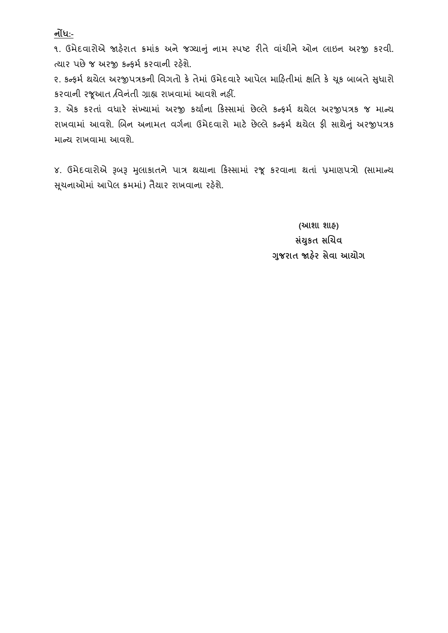**નોંધ:-**

૧. ઉમેદવારોએ જાહેરાત ક્રમાંક અને જગ્યાનું નામ સ્પષ્ટ રીતે વાંચીને ઓન લાઇન અરજી કરવી. ત્યાર પછે જ અરજી કન્કર્મ કરવાની રહેશે.

૨. કન્ફર્મ થયેલ અરજીપત્રકની વિગતો કે તેમાં ઉમેદવારે આપેલ મારિતીમાં ક્ષતિ કે ચુક બાબતે સુધારો કરિાની રજૂઆત /વિનતં ી ગ્રાહ્ય રાખિામાં આિશેનહીં.

૩. એક કરતાં વધારે સંખ્યામાં અરજી કર્યાના કિસ્સામાં છેલ્લે કન્ફર્મ થયેલ અરજીપત્રક જ માન્ય રાખવામાં આવશે. બિન અનામત વર્ગના ઉમેદવારો માટે છેલ્લે કન્ફર્મ થયેલ ફી સાથેનું અરજીપત્રક માન્ય રાખવામા આવશે.

૪. ઉમેદવારોએ રૂબરૂ મુલાકાતને પાત્ર થયાના કિસ્સામાં રજૂ કરવાના થતાં પ્રમાણપત્રો (સામાન્ય સુચનાઓમાં આપેલ ક્રમમાં) તૈયાર રાખવાના રહેશે.

> **(આશા શાહ) સયાં કુત સબચવ ગજુ રાત જાહરે સેવા આયોગ**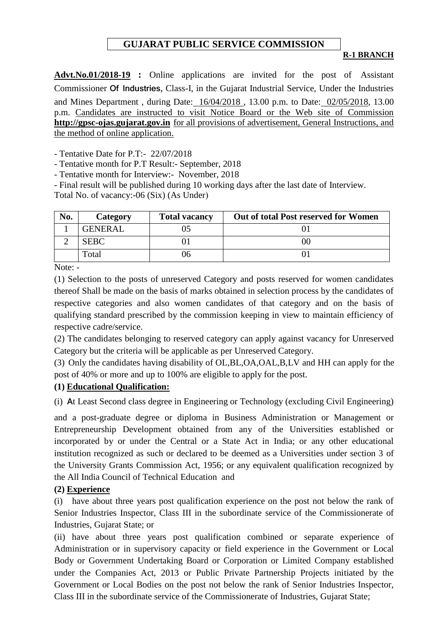# **GUJARAT PUBLIC SERVICE COMMISSION**

#### **R-1 BRANCH**

**Advt.No.01/2018-19 :** Online applications are invited for the post of Assistant Commissioner **Of Industries,** Class-I, in the Gujarat Industrial Service, Under the Industries and Mines Department , during Date: 16/04/2018 , 13.00 p.m. to Date: 02/05/2018, 13.00 p.m. Candidates are instructed to visit Notice Board or the Web site of Commission **[http://gpsc-ojas.gujarat.gov.in](http://gpsc-ojas.gujarat.gov.in/)** for all provisions of advertisement, General Instructions, and the method of online application.

- Tentative Date for P.T:- 22/07/2018

- Tentative month for P.T Result:- September, 2018

- Tentative month for Interview:- November, 2018

- Final result will be published during 10 working days after the last date of Interview.

Total No. of vacancy:-06 (Six) (As Under)

| No. | Category       | <b>Total vacancy</b> | Out of total Post reserved for Women |
|-----|----------------|----------------------|--------------------------------------|
|     | <b>GENERAL</b> |                      |                                      |
|     | <b>SEBC</b>    |                      |                                      |
|     | Total          |                      |                                      |

Note: -

(1) Selection to the posts of unreserved Category and posts reserved for women candidates thereof Shall be made on the basis of marks obtained in selection process by the candidates of respective categories and also women candidates of that category and on the basis of qualifying standard prescribed by the commission keeping in view to maintain efficiency of respective cadre/service.

(2) The candidates belonging to reserved category can apply against vacancy for Unreserved Category but the criteria will be applicable as per Unreserved Category.

(3) Only the candidates having disability of OL,BL,OA,OAL,B,LV and HH can apply for the post of 40% or more and up to 100% are eligible to apply for the post.

#### **(1) Educational Qualification:**

(i) **A**t Least Second class degree in Engineering or Technology (excluding Civil Engineering)

and a post-graduate degree or diploma in Business Administration or Management or Entrepreneurship Development obtained from any of the Universities established or incorporated by or under the Central or a State Act in India; or any other educational institution recognized as such or declared to be deemed as a Universities under section 3 of the University Grants Commission Act, 1956; or any equivalent qualification recognized by the All India Council of Technical Education and

#### **(2) Experience**

(i) have about three years post qualification experience on the post not below the rank of Senior Industries Inspector, Class III in the subordinate service of the Commissionerate of Industries, Gujarat State; or

(ii) have about three years post qualification combined or separate experience of Administration or in supervisory capacity or field experience in the Government or Local Body or Government Undertaking Board or Corporation or Limited Company established under the Companies Act, 2013 or Public Private Partnership Projects initiated by the Government or Local Bodies on the post not below the rank of Senior Industries Inspector, Class III in the subordinate service of the Commissionerate of Industries, Gujarat State;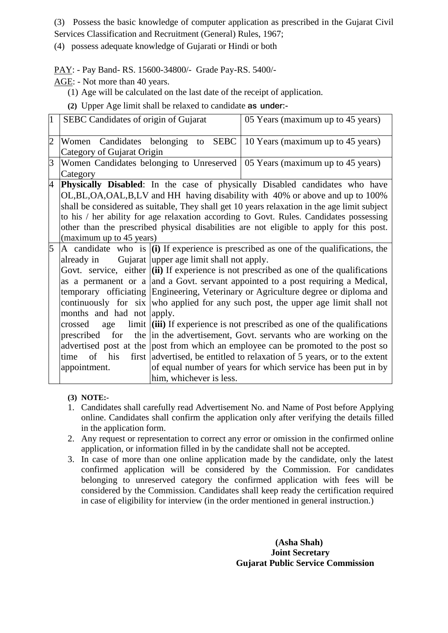(3) Possess the basic knowledge of computer application as prescribed in the Gujarat Civil Services Classification and Recruitment (General) Rules, 1967;

(4) possess adequate knowledge of Gujarati or Hindi or both

PAY: - Pay Band- RS. 15600-34800/- Grade Pay-RS. 5400/-

AGE: - Not more than 40 years.

(1) Age will be calculated on the last date of the receipt of application.

**(2)** Upper Age limit shall be relaxed to candidate **as under:-**

| $\vert$ 1      | SEBC Candidates of origin of Gujarat |                                          | 05 Years (maximum up to 45 years)                                                               |
|----------------|--------------------------------------|------------------------------------------|-------------------------------------------------------------------------------------------------|
| $\overline{2}$ | Women                                |                                          | Candidates belonging to SEBC 10 Years (maximum up to 45 years)                                  |
|                | Category of Gujarat Origin           |                                          |                                                                                                 |
| 3              |                                      |                                          | Women Candidates belonging to Unreserved   05 Years (maximum up to 45 years)                    |
|                | Category                             |                                          |                                                                                                 |
| 4              |                                      |                                          | <b>Physically Disabled:</b> In the case of physically Disabled candidates who have              |
|                |                                      |                                          | OL, BL, OA, OAL, B, LV and HH having disability with 40% or above and up to 100%                |
|                |                                      |                                          | shall be considered as suitable, They shall get 10 years relaxation in the age limit subject    |
|                |                                      |                                          | to his / her ability for age relaxation according to Govt. Rules. Candidates possessing         |
|                |                                      |                                          | other than the prescribed physical disabilities are not eligible to apply for this post.        |
|                | (maximum up to 45 years)             |                                          |                                                                                                 |
| 5              |                                      |                                          | A candidate who is $\vert$ (i) If experience is prescribed as one of the qualifications, the    |
|                | already in                           | Gujarat upper age limit shall not apply. |                                                                                                 |
|                |                                      |                                          | Govt. service, either $\vert$ (ii) If experience is not prescribed as one of the qualifications |
|                |                                      |                                          | as a permanent or a and a Govt. servant appointed to a post requiring a Medical,                |
|                |                                      |                                          | temporary officiating Engineering, Veterinary or Agriculture degree or diploma and              |
|                |                                      |                                          | continuously for six who applied for any such post, the upper age limit shall not               |
|                | months and had not apply.            |                                          |                                                                                                 |
|                | age<br>crossed                       |                                          | limit $\left  \right $ (iii) If experience is not prescribed as one of the qualifications       |
|                | for<br>prescribed                    |                                          | the in the advertisement, Govt. servants who are working on the                                 |
|                |                                      |                                          | advertised post at the post from which an employee can be promoted to the post so               |
|                | of his<br>time                       |                                          | first advertised, be entitled to relaxation of 5 years, or to the extent                        |
|                | appointment.                         |                                          | of equal number of years for which service has been put in by                                   |
|                |                                      | him, whichever is less.                  |                                                                                                 |

**(3) NOTE:-**

- 1. Candidates shall carefully read Advertisement No. and Name of Post before Applying online. Candidates shall confirm the application only after verifying the details filled in the application form.
- 2. Any request or representation to correct any error or omission in the confirmed online application, or information filled in by the candidate shall not be accepted.
- 3. In case of more than one online application made by the candidate, only the latest confirmed application will be considered by the Commission. For candidates belonging to unreserved category the confirmed application with fees will be considered by the Commission. Candidates shall keep ready the certification required in case of eligibility for interview (in the order mentioned in general instruction.)

 **(Asha Shah) Joint Secretary Gujarat Public Service Commission**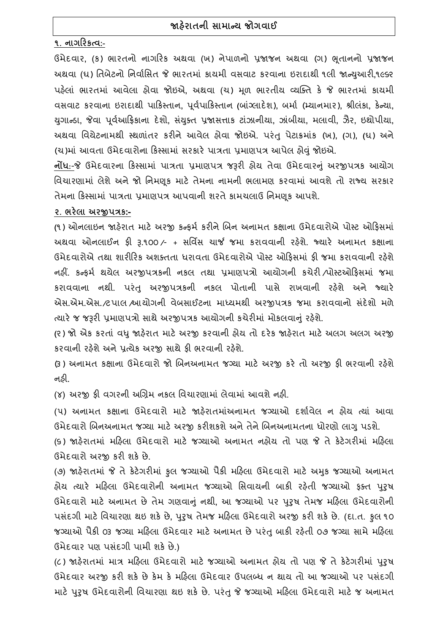# **જાહરે ાતની સામારય જોગવાઈ**

## **૧. નાગહરકત્વ:-**

ઉમેદિાર**,** (ક) ભારતનો નાગરરક અથિા (ખ) નેપાળનો પ્રજાજન અથિા (ગ) ભતૂ ાનનો પ્રજાજન અથિા (ઘ) વતબેટનો વનિાગવસત જે ભારતમાં કાયમી િસિાટ કરિાના ઇરાદાથી ૧લી જાન્યઆુ રી**,**૧૯૬૨ પહલે ાં ભારતમાં આિેલા હોિા જોઇએ**,** અથિા (ચ) મળૂ ભારતીય વ્યન્ક્ત કે જે ભારતમાં કાયમી િસિાટ કરિાના ઇરાદાથી પારકસ્તાન**,** પિૂ ગપારકસ્તાન **(**બાગ્ં લાદેશ)**,** બમાગ (મ્યાનમાર)**,** શ્રીલંકા**,** કેન્યા**,**  યગુ ાન્ર્ા**,** જેિા પિૂ ગઆરિકાના દેશો**,** સયં ક્ુત પ્રજાસત્તાક ટાંઝાનીયા**,** ઝાંબીયા**,** મલાિી**,** ઝૈર**,** ઇથોપીયા**,**  અથિા વિયેટનામથી સ્થળાતં ર કરીનેઆિેલ હોિા જોઇએ. પરંતુપેટાક્રમાકં (ખ)**, (**ગ)**, (**ઘ) અને (ચ)માં આવતા ઉમેદવારોના કિસ્સામાં સરકારે પાત્રતા પ્રમાણપત્ર આપેલ હોવું જોઇએ.

**નોંધ**:-જે ઉમેદવારના કિસ્સામાં પાત્રતા પ્રમાણપત્ર જરૂરી હોય તેવા ઉમેદવારનું અરજીપત્રક આયોગ વિચારણામાં લેશેઅનેજો વનમણકૂ માટે તેમના નામની ભલામણ કરિામાં આિશેતો રાજ્ય સરકાર તેમના રકસ્સામાં પાત્રતા પ્રમાણપત્ર આપિાની શરતેકામચલાઉ વનમણકૂ આપશે.

#### **૨. ભરેલા અરજીપત્રક:-**

**(**૧) ઓનલાઇન જાહરે ાત માટે અરજી કન્ફમગ કરીનેચબન અનામત કક્ષાના ઉમેદિારોએ પોસ્ટ ઓરફસમાં અથવા ઓનલાઈન ફ્રી રૂ.૧૦૦ ⁄- + સર્વિસ ચાર્જ જમા કરાવવાની રહેશે. જ્યારે અનામત કક્ષાના ઉમેદવારોએ તથા શારીરિક અશક્તતા ધરાવતા ઉમેદવારોએ પોસ્ટ ઓકિસમાં કી જમા કરાવવાની રહેશે નહીં. કન્ફમગ થયેલ અરજીપત્રકની નકલ તથા પ્રમાણપત્રો આયોગની કચેરી /પોસ્ટઓરફસમાં જમા કરાિિાના નથી. પરંતુ અરજીપત્રકની નકલ પોતાની પાસે રાખિાની રહશે ે અને જ્યારે એસ.એમ.એસ.*/*ટપાલ *શ્*પાયોગની વેબસાઈટના માધ્યમથી અરજીપત્રક જમા કરાવવાનો સંદેશો મળે ત્યારે જ જરૂરી પ્રમાણપત્રો સાથે અરજીપત્રક આયોગની કચેરીમાં મોકલવાનું રહેશે.

**(**૨) જો એક કરતાં િધુજાહરે ાત માટેઅરજી કરિાની હોય તો દરેક જાહરે ાત માટેઅલગ અલગ અરજી કરવાની રહેશે અને પ્રત્યેક અરજી સાથે કી ભરવાની રહેશે.

(૩) અનામત કક્ષાના ઉમેદવારો જો બિનઅનામત જગ્યા માટે અરજી કરે તો અરજી કી ભરવાની રહેશે નહી.

(૪) અરજી ફી વગરની અગ્રિમ નકલ વિચારણામાં લેવામાં આવશે નહી.

(૫) અનામત કક્ષાના ઉમેદવારો માટે જાહેરાતમાંઅનામત જગ્યાઓ દર્શાવેલ ન હોય ત્યાં આવા ઉમેદવારો બિનઅનામત જગ્યા માટે અરજી કરીશકશે અને તેને બિનઅનામતના ધોરણો લાગુ પડશે.

(૬) જાહરે ાતમાં મરહલા ઉમેદિારો માટે જગ્યાઓ અનામત નહોય તો પણ જે તેકેટેગરીમાં મરહલા ઉમેદિારો અરજી કરી શકેછે.

(૭) જાહરે ાતમાં જે તેકેટેગરીમાં કુલ જગ્યાઓ પૈકી મરહલા ઉમેદિારો માટે અમકુ જગ્યાઓ અનામત હોય ત્યારે મહિલા ઉમેદવારોની અનામત જગ્યાઓ સિવાયની બાકી રહેતી જગ્યાઓ કક્ત પુરૂષ ઉમેદિારો માટે અનામત છેતેમ ગણિાનંુનથી**,** આ જગ્યાઓ પર પરુુર્ તેમજ મરહલા ઉમેદિારોની પસદં ગી માટેવિચારણા થઇ શકેછે**,** પરુુર્ તેમજ મરહલા ઉમેદિારો અરજી કરી શકેછે. (દા.ત. કુલ ૧૦ જગ્યાઓ પૈકી ૦૩ જગ્યા મહિલા ઉમેદવાર માટે અનામત છે પરંતુ બાકી રહેતી ૦૭ જગ્યા સામે મહિલા ઉમેદવાર પણ પસંદગી પામી શકે છે.)

(૮) જાહેરાતમાં માત્ર મહિલા ઉમેદવારો માટે જગ્યાઓ અનામત હોય તો પણ જે તે કેટેગરીમાં પુરુષ ઉમેદવાર અરજી કરી શકે છે કેમ કે મહિલા ઉમેદવાર ઉપલબ્ધ ન થાય તો આ જગ્યાઓ પર પસંદગી માટે પુરુષ ઉમેદવારોની વિચારણા થઇ શકે છે. પરંતુ જે જગ્યાઓ મહિલા ઉમેદવારો માટે જ અનામત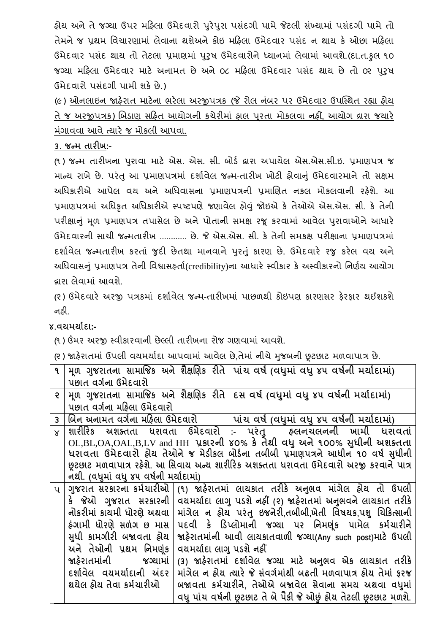હોય અને તે જગ્યા ઉપર મહિલા ઉમેદવારો પુરેપુરા પસંદગી પામે જેટલી સંખ્યામાં પસંદગી પામે તો તેમને જ પ્રથમ વિચારણામાં લેવાના થશેઅને કોઇ મહિલા ઉમેદવાર પસંદ ન થાય કે ઓછા મહિલા ઉમેદવાર પસંદ થાય તો તેટલા પ્રમાણમાં પુરૂષ ઉમેદવારોને ધ્યાનમાં લેવામાં આવશે.(દા.ત.કુલ ૧૦ જગ્યા મહિલા ઉમેદવાર માટે અનામત છે અને ૦૮ મહિલા ઉમેદવાર પસંદ થાય છે તો ૦૨ પુરૂષ ઉમેદિારો પસંદગી પામી શકેછે.)

(૯) ઓનલાઇન જાહેરાત માટેના ભરેલા અરજીપત્રક (જે રોલ નંબર પર ઉમેદવાર ઉપસ્થિત રહ્યા હોય તેજ અરજીપત્રક) ચબર્ાણ સરહત આયોગની કચેરીમાં હાલ પરૂતા મોકલિા નહીં**,** આયોગ િારા જયારે મંગાવવા આવે ત્યારે જ મોકલી આપવા.

#### **૩. જરમ તારીખ:-**

(૧ ) જન્મ તારીખના પરુાિા માટે એસ. એસ. સી**.** બોર્ગ દ્વારા અપાયેલ એસ.એસ.સી.ઇ. પ્રમાણપત્ર જ માન્ય રાખેછે. પરંતુઆ પ્રમાણપત્રમાં દશાગિેલ જન્મ**-**તારીખ ખોટી હોિાનંુઉમેદિારમાનેતો સક્ષમ અધિકારીએ આપેલ વય અને અધિવાસના પ્રમાણપત્રની પ્રમાણિત નકલ મોકલવાની રહેશે. આ પ્રમાણપત્રમાં અવધકૃત અવધકારીએ સ્પષ્ટપણેજણાિેલ હોવંુજોઇએ કે તેઓએ એસ.એસ. સી. કે તેની પરીક્ષાનું મૂળ પ્રમાણપત્ર તપાસેલ છે અને પોતાની સમક્ષ રજૂ કરવામાં આવેલ પુરાવાઓને આધારે ઉમેદિારની સાચી જન્મતારીખ ............ છે. જે એસ.એસ. સી. કે તેની સમકક્ષ પરીક્ષાના પ્રમાણપત્રમાં દશાગિેલ જન્મતારીખ કરતાં જુદી છેતથા માનિાનેપરુતંુકારણ છે. ઉમેદિારે રજુ કરેલ િય અને અધિવાસનું પ્રમાણપત્ર તેની વિશ્વાસહ્**તાી(credibility)ના આધારે સ્વીકાર** કે અસ્વીકારનો નિર્ણય આયોગ દ્વારા લેિામાં આિશે.

**(**૨ ) ઉમેદિારે અરજી પત્રકમાં દશાગિેલ જન્મ**-**તારીખમાં પાછળથી કોઇપણ કારણસર ફેરફાર થઈશકશે નહી.

# **૪.વયમયાગદા:-**

(૧) ઉંમર અરજી સ્વીકારવાની છેલ્લી તારીખના રોજ ગણવામાં આવશે.

(૨ ) જાહરે ાતમાં ઉપલી િયમયાગદા આપિામાં આિેલ છે**,**તેમાં નીચેમજુ બની છૂટછાટ મળિાપાત્ર છે.

| $\mathbf{q}$   |                                        |                          | મૂળ ગુજરાતના સામાજિક અને શૈક્ષણિક રીતે   પાંચ વર્ષ (વધુમાં વધુ ૪૫ વર્ષની મર્યાદામાં)    |
|----------------|----------------------------------------|--------------------------|-----------------------------------------------------------------------------------------|
|                | પછાત વર્ગના ઉમેદવારો                   |                          |                                                                                         |
| $\epsilon$     |                                        |                          | મૂળ ગુજરાતના સામાજિક અને શૈક્ષણિક રીતે દિસ વર્ષ (વધુમાં વધુ ૪૫ વર્ષની મર્યાદામાં)       |
|                | પછાત વર્ગના મહિલા ઉમેદવારો             |                          |                                                                                         |
| $\overline{3}$ |                                        |                          | બિન અનામત વર્ગના મહિલા ઉમેદવારો          પાંચ વર્ષ (વધુમાં વધુ ૪૫ વર્ષની મર્યાદામાં)    |
| $\times$       |                                        |                          | શારીરિક અશક્તતા ધરાવતા ઉમેદવારો :- પરંતુ  હ્લનચલનની ખામી ધરાવતાં                        |
|                |                                        |                          | OL,BL,OA,OAL,B,LV and HH પ્રકારની ४०% કે તેથી વધુ અને ૧૦૦% સુધીની અશક્તતા               |
|                |                                        |                          | ધરાવતા ઉમેદવારો હોય તેઓને જ મેડીકલ બોર્ડના તબીબી પ્રમાણપત્રને આધીન ૧૦ વર્ષ સુધીની       |
|                |                                        |                          | છૂટછાટ મળવાપાત્ર રહેશે. આ સિવાય અન્ય શારીરિક અશક્તતા ધરાવતા ઉમેદવારો અરજી કરવાને પાત્ર  |
|                | નથી. (વધુમાં વધુ ૪૫ વર્ષની મર્યાદામાં) |                          |                                                                                         |
| $\mathbf{u}$   | ગુજરાત સરકારના કર્મચારીઓ               |                          | (૧) જાહેરાતમાં લાયકાત તરીકે અનુભવ માંગેલ હોય તો ઉપલી                                    |
|                |                                        |                          | કે  જેઓ  ગુજરાત  સરકારની   વયમર્યાદા લાગુ પડશે નહીં (૨) જાહેરાતમાં અનુભવને લાયકાત તરીકે |
|                | નોકરીમાં કાયમી ધોરણે અથવા              |                          | માંગેલ ન હોય પરંતુ ઇજનેરી,તબીબી,ખેતી વિષયક,પશુ ચિકિત્સાની                               |
|                | ઠંગામી ધોરણે સળંગ છ માસ                |                          | પદવી કે ડિપ્લોમાની જગ્યા પર નિમણુંક પામેલ કર્મચારીને                                    |
|                | સુધી કામગીરી બજાવતા હોય                |                          | જાહેરાતમાંની આવી લાયકાતવાળી જગ્યા(Any such post)માટે ઉપલી                               |
|                | અને તેઓની પ્રથમ નિમણંક                 | વયમર્યાદા લાગુ પડશે નહીં |                                                                                         |
|                | જાહેરાતમાંની જગ્યામાં                  |                          | (3) જાહેરાતમાં દર્શાવેલ જગ્યા માટે અનુભવ એક લાયકાત તરીકે                                |
|                | દર્શાવેલ વયમર્યાદાની અંદર              |                          | માંગેલ ન હોય ત્યારે જે સંવર્ગમાંથી બઢતી મળવાપાત્ર હોય તેમાં ફરજ                         |
|                | થયેલ હોય તેવા કર્મચારીઓ                |                          | બજાવતા કર્મચારીને, તેઓએ બજાવેલ સેવાના સમય અથવા વધુમાં                                   |
|                |                                        |                          |                                                                                         |
|                |                                        |                          | વધુ પાંચ વર્ષની છૂટછાટ તે બે પૈકી જે ઓછું હોય તેટલી છૂટછાટ મળશે.                        |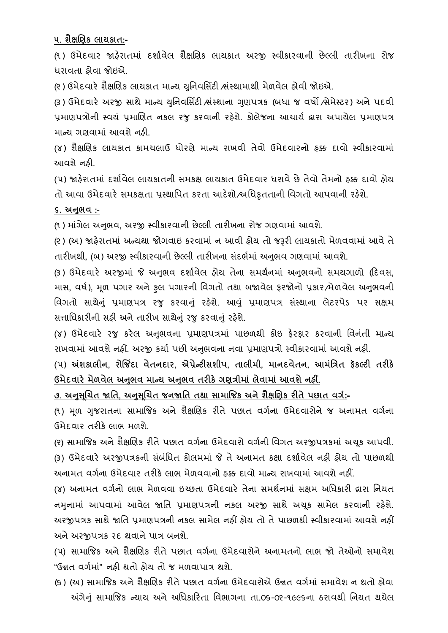**૫. શૈક્ષબણક લાયકાત:-**

(૧ ) ઉમેદિાર જાહરે ાતમાં દશાગિેલ શૈક્ષચણક લાયકાત અરજી સ્િીકારિાની છેલ્લી તારીખના રોજ ધરાવતા હોવા જોઇએ.

(૨) ઉમેદવારે શૈક્ષણિક લાયકાત માન્ય યુનિવર્સિટી ભ્રંસ્થામાથી મેળવેલ હોવી જોઇએ.

(૩) ઉમેદવારે અરજી સાથે માન્ય યનિવર્સિટી ભ્રંસ્થાના ગણપત્રક (બધા જ વર્ષો /સેમેસ્ટર) અને પદવી પ્રમાણપત્રોની સ્વયં પ્રમાણિત નકલ રજુ કરવાની રહેશે. કોલેજના આચાર્ય દ્વારા અપાયેલ પ્રમાણપત્ર માન્ય ગણવામાં આવશે નહી.

(૪) શૈક્ષણિક લાયકાત કામચલાઉ ધોરણે માન્ય રાખવી તેવો ઉમેદવારનો ફક્ક દાવો સ્વીકારવામાં આિશેનહી.

(૫) જાહેરાતમાં દર્શાવેલ લાયકાતની સમકક્ષ લાયકાત ઉમેદવાર ધરાવે છે તેવો તેમનો હક્ક દાવો હોય તો આવા ઉમેદવારે સમકક્ષતા પ્રસ્થાપિત કરતા આદેશો/અધિકૃતતાની વિગતો આપવાની રહેશે.

## **૬. અનભુ વ :-**

(૧ ) માગં ેલ અનભુ િ**,** અરજી સ્િીકારિાની છેલ્લી તારીખના રોજ ગણિામાં આિશે.

(૨) (અ) જાહેરાતમાં અન્યથા જોગવાઇ કરવામાં ન આવી હોય તો જરૂરી લાયકાતો મેળવવામાં આવે તે તારીખથી**,** (બ) અરજી સ્િીકારિાની છેલ્લી તારીખના સદં ભગમાં અનભુ િ ગણિામાં આિશે.

(૩ ) ઉમેદિારે અરજીમાં જે અનભુ િ દશાગિેલ હોય તેના સમથગનમાં અનભુ િનો સમયગાળો (રદિસ**,**  માસ, વર્ષ), મૂળ પગાર અને કુલ પગારની વિગતો તથા બજાવેલ ફરજોનો પ્રકાર*/*મેળવેલ અનુભવની વિગતો સાથેનું પ્રમાણપત્ર રજુ કરવાનું રહેશે. આવું પ્રમાણપત્ર સંસ્થાના લેટરપેડ પર સક્ષમ સત્તાધિકારીની સહી અને તારીખ સાથેનું રજુ કરવાનું રહેશે.

(૪) ઉમેદવારે રજુ કરેલ અનુભવના પ્રમાણપત્રમાં પાછળથી કોઇ ફેરફાર કરવાની વિનંતી માન્ય રાખવામાં આવશે નહીં. અરજી કર્યા પછી અનુભવના નવા પ્રમાણપત્રો સ્વીકારવામાં આવશે નહી.

(૫) **અંશકાલીન, રોજજિંદા વેતનદાર, એપ્રેરટીસશીપ, તાલીમી, માનદવેતન, આમાંધત્રત ફકૅ લ્ટી તરીકે ઉમેદવારેમેળવેલ અનભુ વ મારય અનભુ વ તરીકેગણત્રીમાાં લેવામાાં આવશેનહીં.**

**૭. અનસુ બૂચત જાધત, અનસુ બૂચત જનજાધત તથા સામાજજક અનેશૈક્ષબણક રીતેપછાત વગગ:-**

(૧) મળ ગુજરાતના સામાજિક અને શૈક્ષણિક રીતે પછાત વર્ગના ઉમેદવારોને જ અનામત વર્ગના ઉમેદિાર તરીકેલાભ મળશે.

**(**૨**)** સામાજજક અનેશૈક્ષચણક રીતેપછાત િગગના ઉમેદિારો િગગની વિગત અરજીપત્રકમાં અચકૂ આપિી. (૩) ઉમેદવારે અરજીપત્રકની સંબંધિત કોલમમાં જે તે અનામત કક્ષા દર્શાવેલ નહી હોય તો પાછળથી અનામત વર્ગના ઉમેદવાર તરીકે લાભ મેળવવાનો ઠક્ક દાવો માન્ય રાખવામાં આવશે નહીં.

(૪) અનામત વર્ગનો લાભ મેળવવા ઇચ્છતા ઉમેદવારે તેના સમર્થનમાં સક્ષમ અધિકારી દ્વારા નિયત નમુનામાં આપવામાં આવેલ જાતિ પ્રમાણપત્રની નકલ અરજી સાથે અચુક સામેલ કરવાની રહેશે. અરજીપત્રક સાથે જાતિ પમાણપત્રની નકલ સામેલ નહીં હોય તો તે પાછળથી સ્વીકારવામાં આવશે નહીં અને અરજીપત્રક રદ થવાને પાત્ર બનશે.

(૫) સામાજિક અને શૈક્ષણિક રીતે પછાત વર્ગના ઉમેદવારોને અનામતનો લાભ જો તેઓનો સમાવેશ "ઉન્નત િગગમાં" નહી થતો હોય તો જ મળિાપાત્ર થશે.

(૬) (અ) સામાજિક અને શૈક્ષણિક રીતે પછાત વર્ગના ઉમેદવારોએ ઉન્નત વર્ગમાં સમાવેશ ન થતો હોવા અંગેનં સામાજિક ન્યાય અને અધિકારિતા વિભાગના તા.૦૬-૦૨-૧૯૯૬ના ઠરાવથી નિયત થયેલ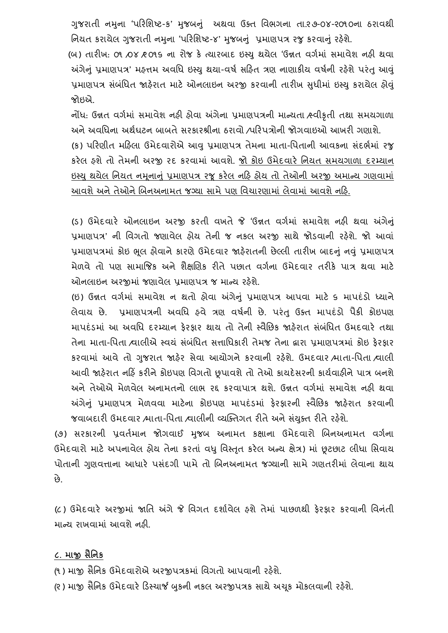ગુજરાતી નમુના 'પરિશિષ્ટ-ક' મુજબનું અથવા ઉક્ત વિભગના તા.૨૭-૦૪-૨૦૧૦ના ઠરાવથી નિયત કરાયેલ ગુજરાતી નમુના 'પરિશિષ્ટ-૪' મુજબનું પ્રમાણપત્ર રજુ કરવાનું રહેશે.

(બ) તારીખ: ૦૧ ⁄૦૪ ⁄૨૦૧૬ ના રોજ કે ત્યારબાદ ઇસ્ય થયેલ 'ઉન્નત વર્ગમાં સમાવેશ નહી થવા અંગેનું પ્રમાણપત્ર' મહત્તમ અવધિ ઇસ્યુ થયા-વર્ષ સરિત ત્રણ નાણાકીય વર્ષની રહેશે પરંતુ આવું પ્રમાણપત્ર સંબંધિત જાહેરાત માટે ઓનલાઇન અરજી કરવાની તારીખ સુધીમાં ઇસ્યુ કરાયેલ હોવું જોઇએ.

નોંધ: ઉન્નત િગગમાં સમાિેશ નહી હોિા અંગેના પ્રમાણપત્રની માન્યતા /સ્િીકૃતી તથા સમયગાળા અને અવધિના અર્થઘટન બાબતે સરકારશ્રીના ઠરાવો /પરિપત્રોની જોગવાઇઓ આખરી ગણાશે.

(ક) પરિણીત મહિલા ઉમેદવારોએ આવુ પ્રમાણપત્ર તેમના માતા-પિતાની આવકના સંદર્ભમાં રજુ કરેલ હશેતો તેમની અરજી રદ કરિામાં આિશે. જો કોઇ ઉમેદિારે વનયત સમયગાળા દરમ્યાન ઇસ્યુ થયેલ નિયત નમૂનાનું પ્રમાણપત્ર રજૂ કરેલ નહિ હોય તો તેઓની અરજી અમાન્ય ગણવામાં આવશે અને તેઓને બિનઅનામત જગ્યા સામે પણ વિચારણામાં લેવામાં આવશે નહિ.

(ડ) ઉમેદવારે ઓનલાઇન અરજી કરતી વખતે જે 'ઉન્નત વર્ગમાં સમાવેશ નહી થવા અંગેનું પ્રમાણપત્ર' ની વિગતો જણાવેલ હોય તેની જ નકલ અરજી સાથે જોડવાની રહેશે. જો આવાં પ્રમાણપત્રમાં કોઇ ભલ હોવાને કારણે ઉમેદવાર જાહેરાતની છેલ્લી તારીખ બાદનું નવું પ્રમાણપત્ર મેળવે તો પણ સામાજિક અને શૈક્ષણિક રીતે પછાત વર્ગના ઉમેદવાર તરીકે પાત્ર થવા માટે ઓનલાઇન અરજીમાં જણાવેલ પ્રમાણપત્ર જ માન્ય રહેશે.

(ઇ) ઉન્નત વર્ગમાં સમાવેશ ન થતો હોવા અંગેનું પ્રમાણપત્ર આપવા માટે ૬ માપદંડો ધ્યાને લેવાય છે. પ્રમાણપત્રની અવધિ હવે ત્રણ વર્ષની છે. પરંતુ ઉક્ત માપદંડો પૈકી કોઇપણ માપદંડમાં આ અવધિ દરમ્યાન ફેરફાર થાય તો તેની સ્વૈછિક જાફેરાત સંબંધિત ઉમદવારે તથા તેના માતા-પિતા /વાલીએ સ્વયં સંબંધિત સત્તાધિકારી તેમજ તેના દ્વારા પ્રમાણપત્રમાં કોઇ કેરકાર કરવામાં આવે તો ગુજરાત જાહેર સેવા આયોગને કરવાની રહેશે. ઉમદવાર ⁄માતા-પિતા ⁄વાલી આવી જાહેરાત નહિં કરીને કોઇપણ વિગતો છૂપાવશે તો તેઓ કાયદેસરની કાર્યવાહીને પાત્ર બનશે અનેતેઓએ મેળિેલ અનામતનો લાભ રદ્દ કરિાપાત્ર થશે. ઉન્નત િગગમાં સમાિેશ નહી થિા અંગેનું પ્રમાણપત્ર મેળવવા માટેના કોઇપણ માપદંડમાં ફેરફારની સ્વૈછિક જાહેરાત કરવાની જવાબદારી ઉમદવાર /માતા-પિતા /વાલીની વ્યક્તિગત રીતે અને સંયુક્ત રીતે રહેશે.

(૭) સરકારની પ્રવર્તમાન જોગવાઈ મુજબ અનામત કક્ષાના ઉમેદવારો બિનઅનામત વર્ગના ઉમેદવારો માટે અપનાવેલ હોય તેના કરતાં વધુ વિસ્તત કરેલ અન્ય ક્ષેત્ર) માં છુટછાટ લીધા સિવાય પોતાની ગુણવત્તાના આધારે પસંદગી પામે તો બિનઅનામત જગ્યાની સામે ગણતરીમાં લેવાના થાય છે.

(૮) ઉમેદવારે અરજીમાં જાતિ અંગે જે વિગત દર્શાવેલ ફશે તેમાં પાછળથી ફેરફાર કરવાની વિનંતી માન્ય રાખવામાં આવશે નહી.

#### **૮. માજી સૈધનક**

(૧) માજી સૈનિક ઉમેદવારોએ અરજીપત્રકમાં વિગતો આપવાની રહેશે.

(૨) માજી સૈનિક ઉમેદવારે ડિસ્ચાર્જ બુકની નકલ અરજીપત્રક સાથે અચુક મોકલવાની રહેશે.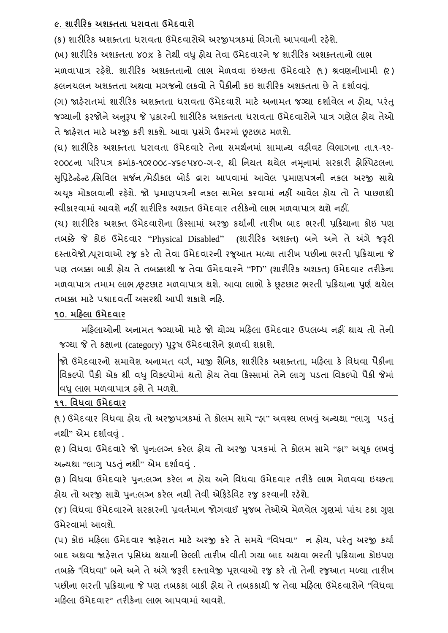### **૯. શારીહરક અશક્તતા ધરાવતા ઉમેદવારો**

(ક) શારીરિક અશક્તતા ધરાવતા ઉમેદવારોએ અરજીપત્રકમાં વિગતો આપવાની રહેશે. (ખ) શારીરિક અશક્તતા ૪૦% કે તેથી વધુ હોય તેવા ઉમેદવારને જ શારીરિક અશક્તતાનો લાભ મળિાપાત્ર રહશે ે. શારીરરક અશક્તતાનો લાભ મેળિિા ઇચ્છતા ઉમેદિારે (૧ ) શ્રિણનીખામી (૨ ) હલનચલન અશક્તતા અથવા મગજનો લકવો તે પૈકીની કઇ શારીરિક અશક્તતા છે તે દર્શાવવ. (ગ) જાહરે ાતમાં શારીરરક અશક્તતા ધરાિતા ઉમેદિારો માટે અનામત જગ્યા દશાગિેલ ન હોય**,** પરંતુ જગ્યાની ફરજોને અનુરૂપ જે પ્રકારની શારીરિક અશક્તતા ધરાવતા ઉમેદવારોને પાત્ર ગણેલ હોય તેઓ તેજાહરે ાત માટેઅરજી કરી શકશે. આિા પ્રસગં ેઉંમરમાં છૂટછાટ મળશે.

(ઘ) શારીરિક અશક્તતા ધરાવતા ઉમેદવારે તેના સમર્થનમાં સામાન્ય વઠીવટ વિભાગના તા.૧-૧૨-૨૦૦૮ના પરિપત્ર ક્રમાંક-૧૦૨૦૦૮-૪૬૯૫૪૦-ગ-૨. થી નિયત થયેલ નમનામાં સરકારી ઠ<del>ો</del>સ્પિટલના સવુપ્રટેન્ર્ન્ેટ /વસવિલ સર્જન /મેર્ીકલ બોર્ગ દ્વારા આપિામાં આિેલ પ્રમાણપત્રની નકલ અરજી સાથે અચૂક મોકલવાની રહેશે. જો પ્રમાણપત્રની નકલ સામેલ કરવામાં નહીં આવેલ હોય તો તે પાછળથી સ્િીકારિામાં આિશેનહીં શારીરરક અશક્ત ઉમેદિાર તરીકેનો લાભ મળિાપાત્ર થશેનહીં.

(ચ) શારીરિક અશક્ત ઉમેદવારોના કિસ્સામાં અરજી કર્યાની તારીખ બાદ ભરતી પ્રક્રિયાના કોઇ પણ તબક્કે જે કોઇ ઉમેદિાર "Physical Disabled" **(**શારીરરક અશક્ત**)** બને અને તે અંગે જરૂરી દસ્તાિેજો /પરૂાિાઓ રજુકરે તો તેિા ઉમેદિારની રજૂઆત મળ્યા તારીખ પછીના ભરતી પ્રરક્રયાના જે પણ તબક્કા બાકી હોય તેતબક્કાથી જ તેિા ઉમેદિારને"PD" **(**શારીરરક અશક્ત**)** ઉમેદિાર તરીકેના મળવાપાત્ર તમામ લાભ /છૂટછાટ મળવાપાત્ર થશે. આવા લાભો કે છૂટછાટ ભરતી પ્રક્રિયાના પુર્ણ થયેલ તબક્કા માટેપશ્વાદિતી અસરથી આપી શકાશેનરહ.

# **૧૦. મહહલા ઉમેદવાર**

મરિલાઓની અનામત જ્ગ્યાઓ માટે જો યોગ્ય મરિલા ઉમેદવાર ઉપલબ્ધ નહીં થાય તો તેની જગ્યા જે તે કક્ષાના (category) પુરૂષ ઉમેદવારોને ફાળવી શકાશે.

જો ઉમેદિારનો સમાિેશ અનામત િગગ**,** માજી સૈવનક**,** શારીરરક અશક્તતા**,** મરહલા કે વિધિા પૈકીના વિકલ્પો પૈકી એક થી વધુ વિકલ્પોમાં થતો હોય તેવા કિસ્સામાં તેને લાગુ પડતા વિકલ્પો પૈકી જેમાં વધુ લાભ મળવાપાત્ર ફશે તે મળશે.

### **૧૧. ધવધવા ઉમેદવાર**

(૧ ) ઉમેદિાર વિધિા હોય તો અરજીપત્રકમાં તેકોલમ સામે"હા" અિશ્ય લખવંુઅન્યથા "લાગુ પર્તંુ નથી" એમ દર્શાવવં.

(૨ ) વિધિા ઉમેદિારે જો પનુ :લગ્ન કરેલ હોય તો અરજી પત્રકમાં તેકોલમ સામે"હા" અચકૂ લખવંુ અન્યથા "લાગુ પડતું નથી" એમ દર્શાવવું.

(૩) વિધવા ઉમેદવારે પન:લગ્ન કરેલ ન હોય અને વિધવા ઉમેદવાર તરીકે લાભ મેળવવા ઇચ્છતા હોય તો અરજી સાથે પુન:લગ્ન કરેલ નથી તેવી એફિડેવિટ રજુ કરવાની રહેશે.

(૪) વિધવા ઉમેદવારને સરકારની પ્રવર્તમાન જોગવાઈ મજબ તેઓએ મેળવેલ ગણમાં પાંચ ટકા ગણ ઉમેરિામાં આિશે.

(પ) કોઇ મરહલા ઉમેદિાર જાહરે ાત માટે અરજી કરે તેસમયે**''**વિધિા**''** ન હોય**,** પરંતુઅરજી કયાગ બાદ અથવા જાહેરાત પ્રસિધ્ધ થયાની છેલ્લી તારીખ વીતી ગયા બાદ અથવા ભરતી પ્રક્રિયાના કોઇપણ તબક્કે "વિધવા" બને અને તે અંગે જરૂરી દસ્તાવેજી પૂરાવાઓ રજુ કરે તો તેની રજુઆત મળ્યા તારીખ પછીના ભરતી પ્રરક્રયાના જે પણ તબકકા બાકી હોય તેતબકકાથી જ તેિા મરહલા ઉમેદિારોને**''**વિધિા મરહલા ઉમેદિાર**''** તરીકેના લાભ આપિામાં આિશે.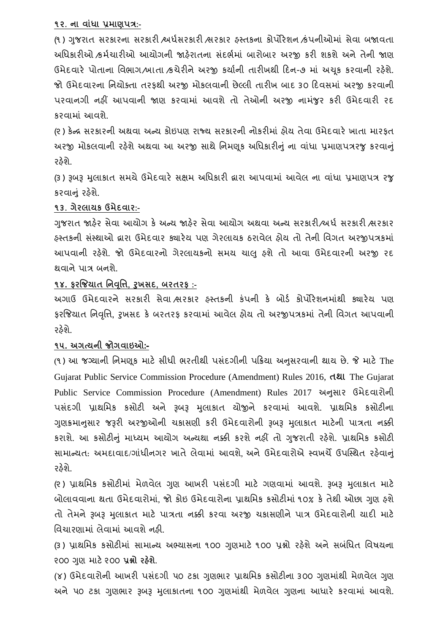#### **૧૨. ના વાાંધા પ્રમાણપત્ર:-**

(૧) ગુજરાત સરકારના સરકારી /અર્ધસરકારી /સરકાર હસ્તકના કોર્પોરેશન /કંપનીઓમાં સેવા બજાવતા અધિકારીઓ ક્રમેચારીઓ આયોગની જાહેરાતના સંદર્ભમાં બારોબાર અરજી કરી શકશે અને તેની જાણ ઉમેદવારે પોતાના વિભાગ/ખાતા ⁄કચેરીને અરજી કર્યાની તારીખથી દિન-૭ માં અચુક કરવાની રહેશે. જો ઉમેદવારના નિચોક્તા તરફથી અરજી મોકલવાની છેલ્લી તારીખ બાદ ૩૦ દિવસમાં અરજી કરવાની પરવાનગી નહીં આપવાની જાણ કરવામાં આવશે તો તેઓની અરજી નામંજર કરી ઉમેદવારી રદ કરિામાં આિશે.

(૨) કેન્દ્ર સરકારની અથવા અન્ય કોઇપણ રાજ્ય સરકારની નોકરીમાં હોય તેવા ઉમેદવારે ખાતા મારફત અરજી મોકલવાની રહેશે અથવા આ અરજી સાથે નિમણુક અધિકારીનું ના વાંધા પ્રમાણપત્રરજુ કરવાનું રઠેશે.

(૩) રૂબરૂ મલાકાત સમયે ઉમેદવારે સક્ષમ અધિકારી દ્વારા આપવામાં આવેલ ના વાંધા પ્રમાણપત્ર રજ કરવાનું રહેશે.

### **૧૩. ગેરલાયક ઉમેદવાર:-**

ગજરાત જાહેર સેવા આયોગ કે અન્ય જાહેર સેવા આયોગ અથવા અન્ય સરકારી/અર્ધ સરકારી શ્વરકાર હસ્તકની સસ્ં થાઓ દ્વારા ઉમેદિાર ક્યારેય પણ ગેરલાયક ઠરાિેલ હોય તો તેની વિગત અરજીપત્રકમાં આપવાની રહેશે. જો ઉમેદવારનો ગેરલાયકનો સમય ચાલુ હશે તો આવા ઉમેદવારની અરજી રદ થિાનેપાત્ર બનશે.

# **૧૪. ફરજજયાત ધનવધૃિ, રુખસદ, િરતરફ :-**

અગાઉ ઉમેદવારને સરકારી સેવા સરકાર હસ્તકની કંપની કે બોર્ડ કોર્પોરેશનમાંથી ક્યારેય પણ ફરજજયાત વનવવૃત્ત**,** રુખસદ કે બરતરફ કરિામાં આિેલ હોય તો અરજીપત્રકમાં તેની વિગત આપિાની રહેશે.

### **૧૫. અગત્યની જોગવાઇઓ:-**

(૧ ) આ જગ્યાની વનમણકૂ માટે સીધી ભરતીથી પસદં ગીની પરક્રયા અનસુ રિાની થાય છે. જે માટે The Gujarat Public Service Commission Procedure (Amendment) Rules 2016, **તથા** The Gujarat Public Service Commission Procedure (Amendment) Rules 2017 અનુસાર ઉમેદવારોની પસંદગી પ્રાથમિક કસોટી અને રૂબરૂ મુલાકાત યોજીને કરવામાં આવશે. પ્રાથમિક કસોટીના ગુણક્રમાનુસાર જરૂરી અરજીઓની ચકાસણી કરી ઉમેદવારોની રૂબરૂ મુલાકાત માટેની પાત્રતા નક્કી કરાશે. આ કસોટીનું માધ્યમ આયોગ અન્યથા નક્કી કરશે નહીં તો ગુજરાતી રહેશે. પ્રાથમિક કસોટી સામાન્યત: અમદાવાદ/ગાંધીનગર ખાતે લેવામાં આવશે. અને ઉમેદવારોએ સ્વખર્ચે ઉપસ્થિત રહેવાનું રહેશે.

(૨) પ્રાથમિક કસોટીમાં મેળવેલ ગણ આખરી પસંદગી માટે ગણવામાં આવશે. રૂબરૂ મલાકાત માટે બોલાવવાના થતા ઉમેદવારોમાં. જો કોઇ ઉમેદવારોના પાથમિક કસોટીમાં ૧૦% કે તેથી ઓછા ગણ હશે તો તેમને રૂબરૂ મલાકાત માટે પાત્રતા નક્કી કરવા અરજી ચકાસણીને પાત્ર ઉમેદવારોની યાદી માટે વિચારણામાં લેવામાં આવશે નહી.

(૩) પ્રાથમિક કસોટીમાં સામાન્ય અભ્યાસના ૧૦૦ ગુણમાટે ૧૦૦ પ્રશ્નો રહેશે અને સબંધિત વિષયના ૨૦૦ ગણુ માટે૨૦૦ **પ્રશ્નો રહશે ે.**

(૪) ઉમેદવારોની આખરી પસંદગી ૫૦ ટકા ગુણુભાર પ્રાથમિક કસોટીના ૩૦૦ ગુણમાંથી મેળવેલ ગુણ અને ૫૦ ટકા ગુણભાર રૂબરૂ મુલાકાતના ૧૦૦ ગુણમાંથી મેળવેલ ગુણના આધારે કરવામાં આવશે.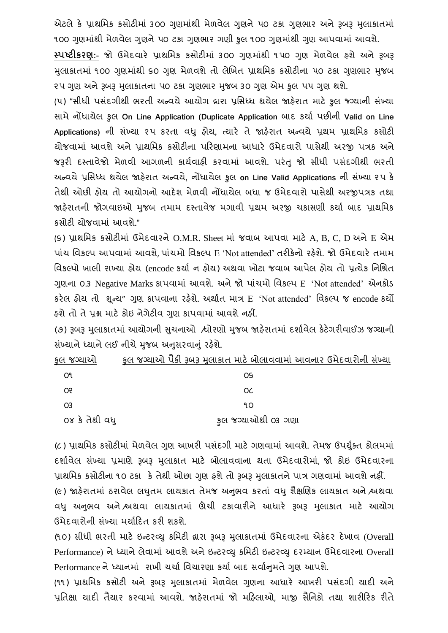એટલે કે પ્રાથમિક કસોટીમાં ૩૦૦ ગુણમાંથી મેળવેલ ગુણને ૫૦ ટકા ગુણભાર અને રૂબરૂ મુલાકાતમાં ૧૦૦ ગુણમાંથી મેળવેલ ગુણને ૫૦ ટકા ગુણભાર ગણી કુલ ૧૦૦ ગુણમાંથી ગુણ આપવામાં આવશે.

**સ્પષ્ટીકરણ:-** જો ઉમેદિારે પ્રાથવમક કસોટીમાં ૩૦૦ ગણુ માથં ી ૧ ૫૦ ગણુ મેળિેલ હશેઅને રૂબરૂ મલાકાતમાં ૧૦૦ ગણમાંથી ૬૦ ગણ મેળવશે તો લેખિત પ્રાથમિક કસોટીના ૫૦ ટકા ગણભાર મુજબ ૨૫ ગુણ અને રૂબરૂ મુલાકાતના ૫૦ ટકા ગુણભાર મુજબ ૩૦ ગુણ એમ કુલ ૫૫ ગુણ થશે.

(૫) "સીધી પસંદગીથી ભરતી અન્વયે આયોગ દ્રારા પ્રસિધ્ધ થયેલ જાહેરાત માટે કુલ જ્ગ્યાની સંખ્યા સામેનોંધાયેલ કુલ **On Line Application (Duplicate Application** બાદ કયાગ પછીની **Valid on Line Applications)** ની સંખ્યા ૨૫ કરતા િધુ હોય**,** ત્યારે તે જાહરે ાત અન્િયે પ્રથમ પ્રાથવમક કસોટી યોજિામાં આિશેઅનેપ્રાથવમક કસોટીના પરરણામના આધારે ઉમેદિારો પાસેથી અરજી પત્રક અને જરૂરી દસ્તાવેજો મેળવી આગળની કાર્યવાહી કરવામાં આવશે. પરંતુ જો સીધી પસંદગીથી ભરતી અન્િયેપ્રવસધ્ધ થયેલ જાહરે ાત અન્િયે**,** નોંધાયેલ કુલ **on Line Valid Applications** ની સંખ્યા ૨ ૫ કે તેથી ઓછી હોય તો આયોગનો આદેશ મેળિી નોંધાયેલ બધા જ ઉમેદિારો પાસેથી અરજીપત્રક તથા જાહેરાતની જોગવાઇઓ મુજબ તમામ દસ્તાવેજ મગાવી પ્રથમ અરજી ચકાસણી કર્યા બાદ પ્રાથમિક કસોટી યોજિામાં આિશે."

(૬) પ્રાથમિક કસોટીમાં ઉમેદવારને O.M.R. Sheet માં જવાબ આપવા માટે A, B, C, D અને E એમ પાંચ વિકલ્પ આપવામાં આવશે, પાંચમો વિકલ્પ E 'Not attended' તરીકેનો રહેશે. જો ઉમેદવારે તમામ વિકલ્પો ખાલી રાખ્યા હોય (encode કર્યા ન હોય) અથવા ખોટા જવાબ આપેલ હોય તો પ્રત્યેક નિશ્રિત ગુણના 0.3 Negative Marks કાપવામાં આવશે. અને જો પાંચમો વિકલ્પ E 'Not attended' એનકોડ કરેલ હોય તો શૂન્ય" ગુણ કાપવાના રહેશે. અર્થાત માત્ર E 'Not attended' વિકલ્પ જ encode કર્યો હશેતો તેપ્રશ્ન માટેકોઇ નેગેટીિ ગણુ કાપિામાં આિશેનહીં.

(૭) રૂબરૂ મુલાકાતમાં આયોગની સચનાઓ /ધોરણો મુજબ જાહેરાતમાં દર્શાવેલ કેટેગરીવાઈઝ જગ્યાની સંખ્યાને ધ્યાને લઈ નીચે મુજબ અનુસરવાનું રહેશે.

| કુલ જગ્યાઓ    | ફુલ જગ્યાઓ પૈકી રૂબરૂ મુલાકાત માટે બોલાવવામાં આવનાર ઉમેદવારોની સંખ્યા |
|---------------|-----------------------------------------------------------------------|
| O٩            | OS.                                                                   |
| œ             | OC                                                                    |
| O3            | 90                                                                    |
| ૦૪ કે તેથી વધ | કૂલ જગ્યાઓથી ૦૩ ગણા                                                   |

(૮) પ્રાથમિક કસોટીમાં મેળવેલ ગુણ આખરી પસંદગી માટે ગણવામાં આવશે. તેમજ ઉપર્યુક્ત કોલમમાં દર્શાવેલ સંખ્યા પ્રમાણે રૂબરૂ મુલાકાત માટે બોલાવવાના થતા ઉમેદવારોમાં, જો કોઇ ઉમેદવારના પ્રાથમિક કસોટીના ૧૦ ટકા કે તેથી ઓછા ગણ ફશે તો રૂબરૂ મલાકાતને પાત્ર ગણવામાં આવશે નહીં.

(૯) જાહેરાતમાં ઠરાવેલ લઘુતમ લાયકાત તેમજ અનુભવ કરતાં વધુ શૈક્ષણિક લાયકાત અને શ્વચવા વધુ અનુભવ અને શ્વશવા લાયકાતમાં ઊંચી ટકાવારીને આધારે રૂબરૂ મુલાકાત માટે આયોગ ઉમેદવારોની સંખ્યા મર્યાદિત કરી શકશે.

(૧૦) સીધી ભરતી માટે ઇન્ટરવ્યુ કમિટી દ્વારા રૂબરૂ મુલાકાતમાં ઉમેદવારના એકંદર દેખાવ (Overall Performance) ને ધ્યાને લેવામાં આવશે અને ઇન્ટરવ્યુ કમિટી ઇન્ટરવ્યુ દરમ્યાન ઉમેદવારના Overall Performance ને ધ્યાનમાં રાખી ચર્ચા વિચારણા કર્યા બાદ સર્વાનમતે ગણ આપશે.

(૧૧) પ્રાથમિક કસોટી અને રૂબરૂ મુલાકાતમાં મેળવેલ ગુણના આધારે આખરી પસંદગી યાદી અને પ્રતિક્ષા યાદી તૈયાર કરવામાં આવશે. જાહેરાતમાં જો મહિલાઓ, માજી સૈનિકો તથા શારીરિક રીતે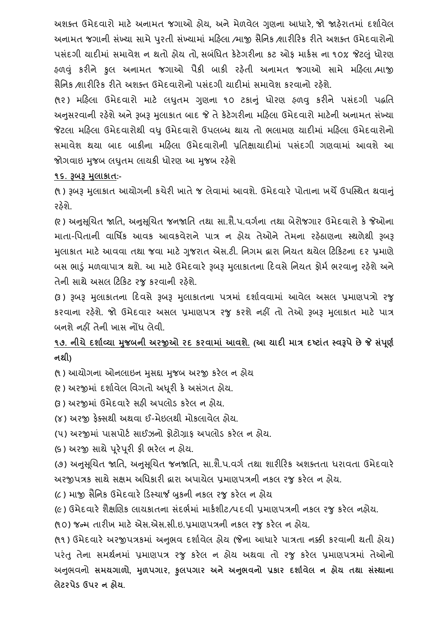અશક્ત ઉમેદવારો માટે અનામત જગાઓ હોય, અને મેળવેલ ગણના આધારે, જો જાહેરાતમાં દર્શાવેલ અનામત જગાની સંખ્યા સામે પરતી સંખ્યામાં મહિલા /માજી સૈનિક /શારીરિક રીતે અશક્ત ઉમેદવારોનો પસંદગી યાદીમાં સમાવેશ ન થતો હોય તો સબંધિત કેટેગરીના કટ ઓક માર્કસ ના ૧૦% જેટલં ધોરણ હળવંુ કરીને કુલ અનામત જગાઓ પૈકી બાકી રહતે ી અનામત જગાઓ સામે મરહલા /માજી સૈનિક /શારીરિક રીતે અશક્ત ઉમેદવારોનો પસંદગી યાદીમાં સમાવેશ કરવાનો રહેશે.

(૧૨) મહિલા ઉમેદવારો માટે લઘતમ ગણના ૧૦ ટકાનું ધોરણ હળવુ કરીને પસંદગી પદ્ધતિ અનુસરવાની રહેશે અને રૂબરૂ મલાકાત બાદ જે તે કેટેગરીના મહિલા ઉમેદવારો માટેની અનામત સંખ્યા જેટલા મહિલા ઉમેદવારોથી વધુ ઉમેદવારો ઉપલબ્ધ થાય તો ભલામણ યાદીમાં મહિલા ઉમેદવારોનો સમાવેશ થયા બાદ બાકીના મહિલા ઉમેદવારોની પ્રતિક્ષાયાદીમાં પસંદગી ગણવામાં આવશે આ જોગવાઇ મુજબ લધુતમ લાયકી ધોરણ આ મુજબ રહેશે

**૧૬. રૂિરૂ મલુ ાકાત:-**

(૧) રૂબરૂ મુલાકાત આયોગની કચેરી ખાતે જ લેવામાં આવશે. ઉમેદવારે પોતાના ખર્ચે ઉપસ્થિત થવાનું રહેશે.

(૨ ) અનસુ ચૂચત જાવત**,** અનસુ ચૂચત જનજાવત તથા સા.શૈ.પ.િગગના તથા બેરોજગાર ઉમેદિારો કેજેઓના માતા-વપતાની િાવર્િક આિક આિકિેરાને પાત્ર ન હોય તેઓને તેમના રહઠે ાણના સ્થળેથી રૂબરૂ મલાકાત માટે આવવા તથા જવા માટે ગુજરાત એસ.ટી. નિગમ દ્વારા નિયત થયેલ ટિકિટના દર પ્રમાણે બસ ભાડું મળવાપાત્ર થશે. આ માટે ઉમેદવારે રૂબરૂ મુલાકાતના દિવસે નિયત ફોર્મ ભરવાનુ રહેશે અને તેની સાથે અસલ ટિકિટ રજુ કરવાની રહેશે.

(૩) રૂબરૂ મુલાકાતના દિવસે રૂબરૂ મુલાકાતના પત્રમાં દર્શાવવામાં આવેલ અસલ પ્રમાણપત્રો રજુ કરિાના રહશે ે. જો ઉમેદિાર અસલ પ્રમાણપત્ર રજુ કરશેનહીં તો તેઓ રૂબરૂ મલુ ાકાત માટે પાત્ર બનશે નહીં તેની ખાસ નોંધ લેવી.

**૧૭. નીચેદશાગવ્યા મજુ િની અરજીઓ રદ કરવામાાં આવશે. (આ યાદી માત્ર દષ્ટાતાં સ્વરૂપેછેજે સપાં ણૂ ગ નથી)**

(૧) આયોગના ઓનલાઇન મુસદ્દા મુજબ અરજી કરેલ ન હોય

- (૨ ) અરજીમાં દશાગિેલ વિગતો અધરૂી કેઅસગં ત હોય.
- (3) અરજીમાં ઉમેદવારે સહી અપલોડ કરેલ ન હોય.
- (૪) અરજી ફેક્સથી અથિા ઈ-મેઇલથી મોકલાિેલ હોય.
- (૫) અરજીમાં પાસપોર્ટ સાઈઝનો કોટોગ્રાક અપલોડ કરેલ ન હોય.
- (૬) અરજી સાથેપરૂેપરૂી ફી ભરેલ ન હોય.

(૭) અનસુ ચૂચત જાવત**,** અનસુ ચૂચત જનજાવત**,** સા.શૈ.પ.િગગ તથા શારીરરક અશક્તતા ધરાિતા ઉમેદિારે અરજીપત્રક સાથેસક્ષમ અવધકારી દ્વારા અપાયેલ પ્રમાણપત્રની નકલ રજુકરેલ ન હોય.

(૮) માજી સૈનિક ઉમેદવારે ડિસ્ચાર્જ બુકની નકલ રજુ કરેલ ન હોય

(૯) ઉમેદવારે શૈક્ષણિક લાયકાતના સંદર્ભમાં માર્કશીટ/પદવી પ્રમાણપત્રની નકલ રજુ કરેલ નહોય.

(૧૦) જન્મ તારીખ માટે એસ.એસ.સી.ઇ.પ્રમાણપત્રની નકલ રજ કરેલ ન હોય.

(૧૧) ઉમેદવારે અરજીપત્રકમાં અનુભવ દર્શાવેલ હોય (જેના આધારે પાત્રતા નક્કી કરવાની થતી હોય) પરંતુ તેના સમથગનમાં પ્રમાણપત્ર રજુ કરેલ ન હોય અથિા તો રજુ કરેલ પ્રમાણપત્રમાં તેઓનો અનભુ િનો **સમયગાળો, મળુ પગાર, કુલપગાર અને અનભુ વનો પ્રકાર દશાગવેલ ન હોય તથા સસ્ાં થાના લેટરપેડ ઉપર ન હોય.**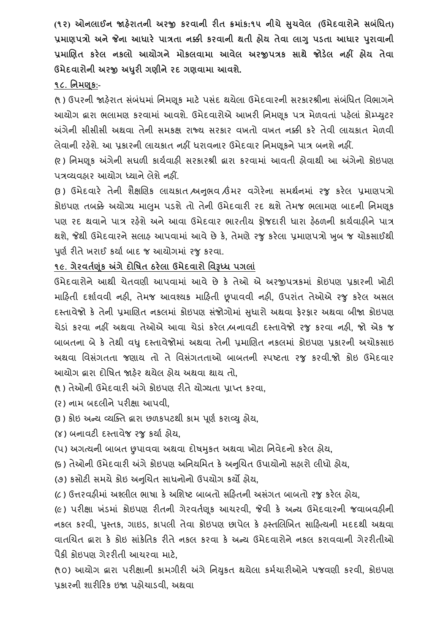**(૧૨) ઓનલાઈન જાહરે ાતની અરજી કરવાની રીત ક્રમાાંક:૧૫ નીચેસચુ વેલ (ઉમેદવારોનેસિાંધધત) પ્રમાણપત્રો અનેજેના આધારે પાત્રતા નક્કી કરવાની થતી હોય તેવા લાગુપડતા આધાર પરુાવાની પ્રમાબણત કરેલ નકલો આયોગને મોકલવામા આવેલ અરજીપત્રક સાથે જોડલે નહીં હોય તેવા ઉમેદવારોની અરજી અધરુી ગણીનેરદ ગણવામા આવશે.**

#### **૧૮. ધનમણકૂ:-**

(૧) ઉપરની જાહેરાત સંબંધમાં નિમણૂક માટે પસંદ થયેલા ઉમેદવારની સરકારશ્રીના સંબંધિત વિભાગને આયોગ દ્વારા ભલામણ કરવામાં આવશે. ઉમેદવારોએ આખરી નિમણુક પત્ર મેળવતાં પહેલાં કોમ્પ્યુટર અંગેની સીસીસી અથવા તેની સમકક્ષ રાજ્ય સરકાર વખતો વખત નક્કી કરે તેવી લાયકાત મેળવી લેવાની રહેશે. આ પ્રકારની લાયકાત નહીં ધરાવનાર ઉમેદવાર નિમણકને પાત્ર બનશે નહીં.

(૨ ) વનમણકૂ અંગેની સઘળી કાયગિાહી સરકારશ્રી દ્વારા કરિામાં આિતી હોિાથી આ અંગેનો કોઇપણ પત્રવ્યિહાર આયોગ ધ્યાનેલેશેનહીં.

(3) ઉમેદવારે તેની શૈક્ષણિક લાયકાત શ્વનુભવ ઉંમર વગેરેના સમર્થનમાં રજુ કરેલ પ્રમાણપત્રો કોઇપણ તબક્કે અયોગ્ય માલુમ પડશે તો તેની ઉમેદવારી રદ થશે તેમજ ભલામણ બાદની નિમણક પણ રદ થવાને પાત્ર રહેશે અને આવા ઉમેદવાર ભારતીય કોજદારી ધારા ફેઠળની કાર્યવાફીને પાત્ર થશે**,** જેથી ઉમેદિારનેસલાહ આપિામાં આિેછેકે**,** તેમણેરજુકરેલા પ્રમાણપત્રો ખબુ જ ચોકસાઈથી પૂર્ણ રીતે ખરાઈ કર્યા બાદ જ આયોગમાં રજુ કરવા.

#### **૧૯. ગેરવતગણકાંૂ અંગેદોધર્ત ઠરેલા ઉમેદવારો ધવરૂધ્ધ પગલાાં**

ઉમેદિારોનેઆથી ચેતિણી આપિામાં આિેછે કે તેઓ એ અરજીપત્રકમાં કોઇપણ પ્રકારની ખોટી મારહતી દશાગિિી નહી**,** તેમજ આિશ્યક મારહતી છૂપાિિી નહી**,** ઉપરાતં તેઓએ રજુ કરેલ અસલ દસ્તાવેજો કે તેની પ્રમાણિત નકલમાં કોઇપણ સંજોગોમાં સુધારો અથવા ફેરફાર અથવા બીજા કોઇપણ ચેર્ાં કરિા નહીં અથિા તેઓએ આિા ચેર્ાં કરેલ /બનાિટી દસ્તાિેજો રજુ કરિા નહી**,** જો એક જ બાબતના બેકે તેથી િધુદસ્તાિેજોમાં અથિા તેની પ્રમાચણત નકલમાં કોઇપણ પ્રકારની અચોકસાઇ અથવા વિસંગતતા જણાય તો તે વિસંગતતાઓ બાબતની સ્પષ્ટતા રજ કરવી.જો કોઇ ઉમેદવાર આયોગ દ્વારા દોવર્ત જાહરે થયેલ હોય અથિા થાય તો**,**

(૧ ) તેઓની ઉમેદિારી અંગેકોઇપણ રીતેયોગ્યતા પ્રાપ્ત કરિા**,** 

(ર) નામ બદલીનેપરીક્ષા આપિી**,** 

- (૩ ) કોઇ અન્ય વ્યન્ક્ત દ્વારા છળકપટથી કામ પણૂ ગ કરાવ્યુહોય**,**
- (૪) બનાિટી દસ્તાિેજ રજુકયાગ હોય**,**
- (પ) અગત્યની બાબત છુપાિિા અથિા દોર્મકુત અથિા ખોટા વનિેદનો કરેલ હોય**,**

(૬ ) તેઓની ઉમેદિારી અંગેકોઇપણ અવનયવમત કેઅનચુચત ઉપાયોનો સહારો લીધો હોય**,**

(૭) કસોટી સમયેકોઇ અનચુચત સાધનોનો ઉપયોગ કયો હોય**,**

(૮ ) ઉત્તરિહીમાં અશ્લીલ ભાર્ા કેઅવશષ્ટ બાબતો સરહતની અસંગત બાબતો રજુકરેલ હોય**,**

(૯) પરીક્ષા ખંર્માં કોઇપણ રીતની ગેરિતગણકૂ આચરિી**,** જેિી કે અન્ય ઉમેદિારની જિાબિહીની નકલ કરિી**,** પસ્ુતક**,** ગાઇર્**,** કાપલી તેિા કોઇપણ છાપેલ કે હસ્તચલચખત સારહત્યની મદદથી અથિા વાતચિત દ્વારા કે કોઇ સાંકેતિક રીતે નકલ કરવા કે અન્ય ઉમેદવારોને નકલ કરાવવાની ગેરરીતીઓ પૈકી કોઇપણ ગેરરીતી આચરિા માટે**,**

(૧ ૦) આયોગ દ્વારા પરીક્ષાની કામગીરી અંગેવનયકુત થયેલા કમગચારીઓનેપજિણી કરિી**,** કોઇપણ પ્રકારની શારીરરક ઇજા પહોચાર્િી**,** અથિા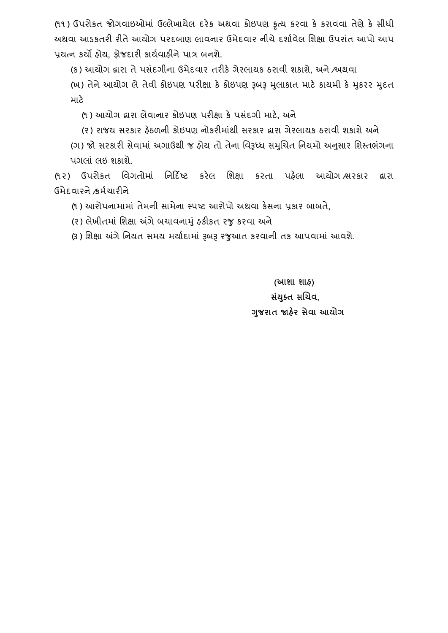(૧૧ ) ઉપરોકત જોગિાઇઓમાં ઉલ્લેખાયેલ દરેક અથિા કોઇપણ કૃત્ય કરિા કે કરાિિા તેણેકે સીધી અથિા આર્કતરી રીતેઆયોગ પરદબાણ લાિનાર ઉમેદિાર નીચેદશાગિેલ વશક્ષા ઉપરાતં આપો આપ પ્રયત્ન કયો હોય**,** ફોજદારી કાયગિાહીનેપાત્ર બનશે.

(ક) આયોગ દ્વારા તેપસદં ગીના ઉમેદિાર તરીકેગેરલાયક ઠરાિી શકાશે**,** અને/અથિા

(ખ) તેને આયોગ લે તેવી કોઇપણ પરીક્ષા કે કોઇપણ રૂબરૂ મુલાકાત માટે કાયમી કે મુકરર મુદત માટે

(૧ ) આયોગ દ્વારા લેિાનાર કોઇપણ પરીક્ષા કેપસદં ગી માટે**,** અને

(૨) રાજય સરકાર ફેઠળની કોઇપણ નોકરીમાંથી સરકાર દ્વારા ગેરલાયક ઠરાવી શકાશે અને

(ગ) જો સરકારી સેવામાં અગાઉથી જ હોય તો તેના વિરૂધ્ધ સમુચિત નિયમો અનુસાર શિસ્તભંગના પગલાં લઇ શકાશે.

(૧ર) ઉપરોકત વિગતોમાં વનરદિષ્ટ કરેલ વશક્ષા કરતા પહલે ા આયોગ /સરકાર દ્વારા ઉમેદિારને/કમગચારીને

(૧ ) આરોપનામામાં તેમની સામેના સ્પષ્ટ આરોપો અથિા કેસના પ્રકાર બાબતે**,**

(ર) લેખીતમાં વશક્ષા અંગેબચાિનામંુહકીકત રજુકરિા અને

(૩) શિક્ષા અંગે નિયત સમય મર્યાદામાં રૂબરૂ રજુઆત કરવાની તક આપવામાં આવશે.

**(આશા શાહ) સયાં ક્ુત સબચવ, ગજુ રાત જાહરે સેવા આયોગ**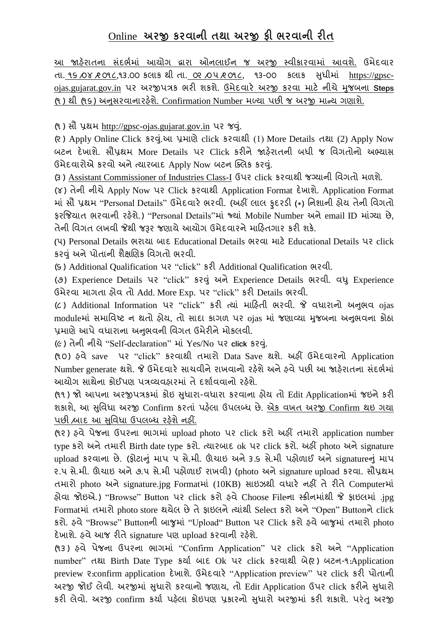# Online **અરજી કરવાની તથા અરજી ફી ભરવાની રીત**

આ જાહેરાતના સંદર્ભમાં આયોગ દ્વારા ઓનલાઈન જ અરજી સ્વીકારવામાં આવશે. ઉમેદવાર તા. ૧૬ /૦૪ /૨ ૦૧૮**,**૧૩.૦૦ કલાક થી તા. ૦૨ /૦૫/૨ ૦૧૮**,** ૧૩-૦૦ કલાક સધુ ીમાં [https://gpsc](https://gpsc-ojas.gujarat.gov.in/)[ojas.gujarat.gov.in](https://gpsc-ojas.gujarat.gov.in/) પર અરજીપત્રક ભરી શકશે. ઉમેદિારે અરજી કરિા માટે નીચેમજુ બના **Steps** (૧ ) થી (૧૬) અનસુ રિાનારહશે ે. Confirmation Number મળ્યા પછી જ અરજી માન્ય ગણાશે.

(૧) સૌ પ્રથમ http://gpsc-ojas.gujarat.gov.in પર જવું.

(૨ ) Apply Online Click કરવ.ંુઆ પ્રમાણેclick કરિાથી (1) More Details તથા (2) Apply Now બટન દેખાશે. સૌપ્રથમ More Details પર Click કરીને જાહરે ાતની બધી જ વિગતોનો અભ્યાસ ઉમેદવારોએ કરવો અને ત્યારબાદ Apply Now બટન ક્લિક કરવું.

(૩ ) Assistant Commissioner of Industries Class-I ઉપર click કરિાથી જગ્યાની વિગતો મળશે**.**

(૪) તેની નીચેApply Now પર Click કરિાથી Application Format દેખાશે. Application Format માં સૌ પ્રથમ "Personal Details" ઉમેદિારે ભરિી. (અહીં લાલ ફુદરર્ી **(**\***)** વનશાની હોય તેની વિગતો ફરજિયાત ભરવાની રફેશે.) "Personal Details"માં જ્યાં Mobile Number અને email ID માંગ્યા છે, તેની વિગત લખવી જેથી જરૂર જણાયે આયોગ ઉમેદવારને માહિતગાર કરી શકે.

**(**૫**)** Personal Details ભરાયા બાદ Educational Details ભરિા માટેEducational Details પર click કરવંુઅનેપોતાની શૈક્ષચણક વિગતો ભરિી.

(૬ ) Additional Qualification પર "click" કરી Additional Qualification ભરિી.

(૭) Experience Details પર "click" કરવંુઅનેExperience Details ભરિી. િધુExperience ઉમેરિા માગતા હોિ તો Add. More Exp. પર "click" કરી Details ભરિી.

(૮ ) Additional Information પર "click" કરી ત્યાં મારહતી ભરિી. જે િધારાનો અનભુ િ ojas moduleમાં સમાવિષ્ટ ન થતો હોય**,** તો સાદા કાગળ પર ojas માં જણાવ્યા મજુ બના અનભુ િના કોઠા પ્રમાણે આપે વધારાના અનુભવની વિગત ઉમેરીને મોકલવી.

(૯) તેની નીચે"Self-declaration" માં Yes/No પર **click** કરવ.ંુ

(૧ ૦) હિે saveપર "click" કરિાથી તમારો Data Save થશે. અહીં ઉમેદિારનો Application Number generate થશે. જે ઉમેદવારે સાચવીને રાખવાનો રહેશે અને હવે પછી આ જાહેરાતના સંદર્ભમાં આયોગ સાથેના કોઈપણ પત્રવ્યવહારમાં તે દર્શાવવાનો રહેશે.

(૧૧ ) જો આપના અરજીપત્રકમાં કોઇ સધુ ારા-િધારા કરિાના હોય તો Edit Applicationમાં જઇનેકરી શકાશે**,** આ સવુિધા અરજી Confirm કરતાં પહલે ા ઉપલબ્ધ છે. એક િખત અરજી Confirm થઇ ગયા પછી /બાદ આ સુવિધા ઉપલબ્ધ રહેશે નહીં.

(૧૨ ) હિેપેજના ઉપરના ભાગમાં upload photo પર click કરો અહીં તમારો application number type કરો અને તમારી Birth date type કરો. ત્યારબાદ ok પર click કરો. અહીં photo અને signature upload કરવાના છે. (ફોટાનું માપ ૫ સે.મી. ઊંચાઇ અને ૩.૬ સે.મી પહોળાઈ અને signatureનું માપ ૨.૫ સે.મી. ઊંચાઇ અને૭.૫ સે.મી પહોળાઈ રાખિી) (photo અનેsignature upload કરિા**.** સૌપ્રથમ તમારો photo અને signature.jpg Formatમાં (10KB) સાઇઝથી વધારે નહીં તે રીતે Computerમાં હોિા જોઇએ.) "Browse" Button પર click કરો હિેChoose Fileના સ્ક્રીનમાંથી જે ફાઇલમાં .jpg Formatમાં તમારો photo store થયેલ છેતેફાઇલનેત્યાંથી Select કરો અને"Open" Buttonનેclick કરો. હિે"Browse" Buttonની બાજુમાં "Upload" Button પર Click કરો હિેબાજુમાં તમારો photo દેખાશે. હવે આજ રીતે signature પણ upload કરવાની રહેશે.

(૧૩ ) હિે પેજના ઉપરના ભાગમાં "Confirm Application" પર click કરો અને "Application number" તથા Birth Date Type કર્યા બાદ Ok પર click કરવાથી બે(૨) બટન-૧:Application preview २:confirm application દેખાશે. ઉમેદવારે "Application preview" પર click કરી પોતાની અરજી જોઈ લેવી. અરજીમાં સુધારો કરવાનો જણાય, તો Edit Application ઉપર click કરીને સુધારો કરી લેવો. અરજી confirm કર્યા પહેલા કોઇપણ પ્રકારનો સુધારો અરજીમાં કરી શકાશે. પરંતુ અરજી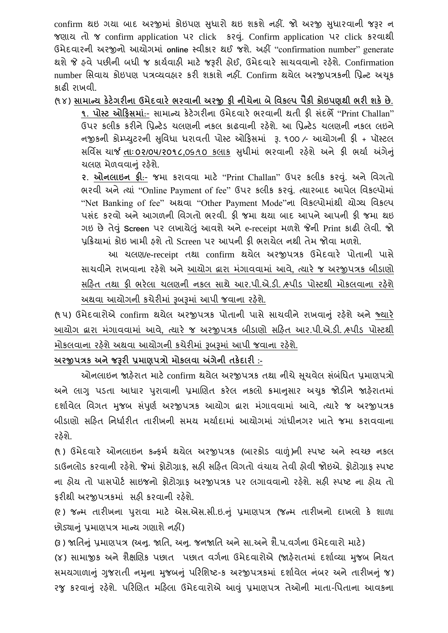confirm થઇ ગયા બાદ અરજીમાં કોઇપણ સુધારો થઇ શકશે નહીં. જો અરજી સુધારવાની જરૂર ન જણાય તો જ confirm application પર clickકરવ.ંુ Confirm application પર click કરિાથી ઉમેદિારની અરજીનો આયોગમાં **online** સ્િીકાર થઈ જશે. અહીં "confirmation number" generate થશેજે હિેપછીની બધી જ કાયગિાહી માટે જરૂરી હોઈ**,** ઉમેદિારે સાચિિાનો રહશે ે. Confirmation number સિવાય કોઇપણ પત્રવ્યવહાર કરી શકાશે નહીં. Confirm થયેલ અરજીપત્રકની પ્રિન્ટ અચુક કાઢી રાખિી.

(૧ ૪) **સામારય કેટેગરીના ઉમેદવારે ભરવાની અરજી ફી નીચેના િેધવકલ્પ પૈકી કોઇપણથી ભરી શકેછે.**

**૧. પોસ્ટ ઓહફસમાાં**:- સામાન્ય કેટેગરીના ઉમેદિારે ભરિાની થતી ફી સંદભે"Print Challan" ઉપર કલીક કરીને પ્રિન્ટેડ ચલણની નકલ કાઢવાની રહેશે. આ પ્રિન્ટેડ ચલણની નકલ લઇને નજીકની કોમ્પ્યટુરની સવુિધા ધરાિતી પોસ્ટ ઓરફસમાં રૂ. ૧૦૦ /- આયોગની ફી + પૉસ્ટલ સર્વિસ ચાર્જ **તાઃ ૦૨/૦૫/૨૦૧૮,૦**૬.૧૦ કલાક સુધીમાં ભરવાની રહેશે અને ફી ભર્યા અંગેનું ચલણ મેળવવાનં રહેશે.

**૨. ઓનલાઇન ફી**:- જમા કરાિિા માટે "Print Challan" ઉપર કલીક કરવ.ંુ અને વિગતો ભરવી અને ત્યાં "Online Payment of fee" ઉપર કલીક કરવું. ત્યારબાદ આપેલ વિકલ્પોમાં "Net Banking of fee" અથિા "Other Payment Mode"ના વિકલ્પોમાંથી યોગ્ય વિકલ્પ પસંદ કરવો અને આગળની વિગતો ભરવી. કી જમા થયા બાદ આપને આપની કી જમા થઇ ગઇ છેતેવંુ**Screen** પર લખાયેલંુઆિશેઅનેe-receipt મળશેજેની Print કાઢી લેિી. જો પ્રરક્રયામાં કોઇ ખામી હશેતો Screen પર આપની ફી ભરાયેલ નથી તેમ જોિા મળશે.

આ ચલણ**/**e-receipt તથા confirm થયેલ અરજીપત્રક ઉમેદિારે પોતાની પાસે સાચિીનેરાખિાના રહશે ેઅનેઆયોગ દ્વારા મગં ાિિામાં આિે**,** ત્યારે જ અરજીપત્રક બીર્ાણો સહિત તથા કી ભરેલા ચલણની નકલ સાથે આર.પી.એ.ડી. ત્ર્પીડ પોસ્ટથી મોકલવાના રહેશે અથવા આયોગની કચેરીમાં રૂબરૂમાં આપી જવાના રહેશે.

(૧ ૫) ઉમેદિારોએ confirm થયેલ અરજીપત્રક પોતાની પાસેસાચિીનેરાખિાનંુરહશે ેઅનેજ્યારે આયોગ દ્વારા મગં ાિિામાં આિે**,** ત્યારે જ અરજીપત્રક બીર્ાણો સરહત આર.પી.એ.ર્ી. /સ્પીર્ પોસ્ટથી મોકલવાના રહેશે અથવા આયોગની કચેરીમાં રૂબરૂમાં આપી જવાના રહેશે.

# **અરજીપત્રક અનેજરૂરી પ્રમાણપત્રો મોકલવા અંગેની તકેદારી :-**

ઓનલાઇન જાહેરાત માટે confirm થયેલ અરજીપત્રક તથા નીચે સચવેલ સંબંધિત પ્રમાણપત્રો અને લાગુ પડતા આધાર પુરાવાની પ્રમાણિત કરેલ નકલો ક્રમાનસાર અચકુ જોડીને જાહેરાતમાં દશાગિેલ વિગત મજુ બ સપં ણુ ગ અરજીપત્રક આયોગ દ્વારા મગં ાિિામાં આિે**,** ત્યારે જ અરજીપત્રક બીડાણો સર્હિત નિર્ધારીત તારીખની સમય મર્યાદામાં આયોગમાં ગાંધીનગર ખાતે જમા કરાવવાના રહેશે.

(૧) ઉમેદવારે ઓનલાઇન કન્ફર્મ થયેલ અરજીપત્રક (બારકોડ વાળું)ની સ્પષ્ટ અને સ્વચ્છ નકલ ર્ાઉનલોર્ કરિાની રહશે ે. જેમાં ફોટોગ્રાફ**,** સહી સરહત વિગતો િચં ાય તેિી હોિી જોઇએ. ફોટોગ્રાફ સ્પષ્ટ ના હોય તો પાસપોર્ટ સાઇજનો કોટોગ્રાક અરજીપત્રક પર લગાવવાનો રહેશે. સહી સ્પષ્ટ ના હોય તો કરીથી અરજીપત્રકમાં સહી કરવાની રહેશે.

(૨ ) જન્મ તારીખના પરુાિા માટે એસ.એસ.સી.ઇ.નંુ પ્રમાણપત્ર (જન્મ તારીખનો દાખલો કે શાળા છોર્યાનંુપ્રમાણપત્ર માન્ય ગણાશેનહીં)

(૩ ) જાવતનંુપ્રમાણપત્ર (અન.ુ જાવત**,** અન.ુ જનજાવત અનેસા.અનેશૈ.પ.િગગના ઉમેદિારો માટે) (૪) સામાજીક અને શૈક્ષણિક પછાત પછાત વર્ગના ઉમેદવારોએ (જાહેરાતમાં દર્શાવ્યા મજબ નિયત સમયગાળાનું ગુજરાતી નમુના મુજબનું પરિશિષ્ટ-ક અરજીપત્રકમાં દર્શાવેલ નંબર અને તારીખનું જ) રજુ કરવાનું રહેશે. પરિણિત મહિલા ઉમેદવારોએ આવું પ્રમાણપત્ર તેઓની માતા-પિતાના આવકના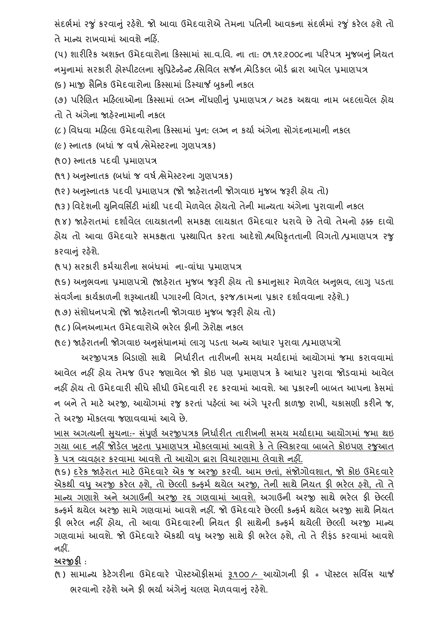સંદર્ભમાં રજું કરવાનું રહેશે. જો આવા ઉમેદવારોએ તેમના પતિની આવકના સંદર્ભમાં રજું કરેલ હશે તો તે માન્ય રાખવામાં આવશે નહિં

(૫) શારીરિક અશક્ત ઉમેદવારોના કિસ્સામાં સા.વ.વિ. ના તા: ૦૧.૧૨.૨૦૦૮ના પરિપત્ર મજબનં નિયત નમુનામાં સરકારી હોસ્પીટલના સુપ્રિટેન્ડેન્ટ /સિવિલ સર્જન /મેડિકલ બોર્ડ દ્વારા આપેલ પ્રમાણપત્ર (૬) માજી સૈનિક ઉમેદવારોના કિસ્સામાં ડિસ્ચાર્જ બુકની નકલ

(૭) પરિણિત મહિલાઓના કિસ્સામાં લગ્ન નોંધણીનું પ્રમાણપત્ર / અટક અથવા નામ બદલાવેલ હોય તો તે અંગેના જાહેરનામાની નકલ

(૮) વિધિા મરહલા ઉમેદિારોના રકસ્સામાં પનુ **:** લગ્ન ન કયાગ અંગેના સોગદં નામાની નકલ

(૯) સ્નાતક (બધાં જ વર્ષ ત્રેમેસ્ટરના ગણપત્રક)

(૧૦) સ્નાતક પદિી પ્રમાણપત્ર

(૧૧) અનુસ્નાતક (બધાં જ વર્ષ ત્રેમેસ્ટરના ગણપત્રક)

(૧૨) અનુસ્નાતક પદવી પ્રમાણપત્ર (જો જાહેરાતની જોગવાઇ મુજબ જરૂરી હોય તો)

(૧૩) વિદેશની યુનિવર્સિટી માંથી પદવી મેળવેલ હોયતો તેની માન્યતા અંગેના પુરાવાની નકલ

(૧૪) જાહેરાતમાં દર્શાવેલ લાયકાતની સમકક્ષ લાયકાત ઉમેદવાર ધરાવે છે તેવો તેમનો હક્ક દાવો હોય તો આિા ઉમેદિારે સમકક્ષતા પ્રસ્થાવપત કરતા આદેશો /અવધકૃતતાની વિગતો /પ્રમાણપત્ર રજુ કરવાનું રહેશે.

(૧ ૫) સરકારી કમગચારીના સબંધમાં ના-િાંધા પ્રમાણપત્ર

(૧૬) અનુભવના પ્રમાણપત્રો (જાહેરાત મુજબ જરૂરી હોય તો ક્રમાનુસાર મેળવેલ અનુભવ, લાગુ પડતા સંિગગના કાયગકાળની શરૂઆતથી પગારની વિગત**,** ફરજ/કામના પ્રકાર દશાગિિાના રહશે ે.)

(૧૭) સંશોધનપત્રો (જો જાહેરાતની જોગવાઇ મજબ જરૂરી હોય તો)

(૧૮) બિનઅનામત ઉમેદવારોએ ભરેલ ફીની ઝેરોક્ષ નકલ

(૧૯) જાહેરાતની જોગવાઇ અનુસંધાનમાં લાગુ પડતા અન્ય આધાર પુરાવા ⁄પ્રમાણપત્રો

અરજીપત્રક બિડાણો સાથે નિર્ધારીત તારીખની સમય મર્યાદામાં આયોગમાં જમા કરાવવામાં આિેલ નહીં હોય તેમજ ઉપર જણાિેલ જો કોઇ પણ પ્રમાણપત્ર કે આધાર પરુાિા જોર્િામાં આિેલ નહીં હોય તો ઉમેદવારી સીધે સીધી ઉમેદવારી રદ કરવામાં આવશે. આ પકારની બાબત આપના કેસમાં ન બનેતેમાટે અરજી**,** આયોગમાં રજુકરતાં પહલે ાં આ અંગેપરૂતી કાળજી રાખી**,** ચકાસણી કરીનેજ**,** તે અરજી મોકલવા જણાવવામાં આવે છે.

ખાસ અગત્યની સુચના:- સંપુર્ણ અરજીપત્રક નિર્ધારીત તારીખની સમય મર્યાદામા આયોગમાં જમા થઇ ગયા બાદ નહીં જોડેલ ખુટતા પ્રમાણપત્ર મોકલવામાં આવશે કે તે સ્વિકારવા બાબતે કોઇપણ રજુઆત કે પત્ર વ્યવહાર કરવામા આવશે તો આયોગ દ્વારા વિચારણામા લેવાશે નહીં.

(૧૬) દરેક જાહરે ાત માટેઉમેદિારે એક જ અરજી કરિી. આમ છતા**,** ં સંજોગોિશાત**,** જો કોઇ ઉમેદિારે એકથી િધુઅરજી કરેલ હશે**,** તો છેલ્લી કન્ફમગ થયેલ અરજી**,** તેની સાથેવનયત ફી ભરેલ હશે**,** તો તે માન્ય ગણાશેઅનેઅગાઉની અરજી રદ્દ ગણિામાં આિશે. અગાઉની અરજી સાથેભરેલ ફી છેલ્લી કન્ફર્મ થયેલ અરજી સામે ગણવામાં આવશે નહીં. જો ઉમેદવારે છેલ્લી કન્ફર્મ થયેલ અરજી સાથે નિયત ફી ભરેલ નહીં હોય**,** તો આિા ઉમેદિારની વનયત ફી સાથેની કન્ફમગ થયેલી છેલ્લી અરજી માન્ય ગણિામાં આિશે. જો ઉમેદિારે એકથી િધુઅરજી સાથેફી ભરેલ હશે**,** તો તેરીફંર્ કરિામાં આિશે નહીં.

**અરજીફી** :

(૧ ) સામાન્ય કેટેગરીના ઉમેદિારે પોસ્ટઓફીસમાં રૂ.૧૦૦ /- આયોગની ફી + પૉસ્ટલ સવિિસ ચાર્જ ભરવાનો રહેશે અને કી ભર્યા અંગેનું ચલણ મેળવવાનું રહેશે.